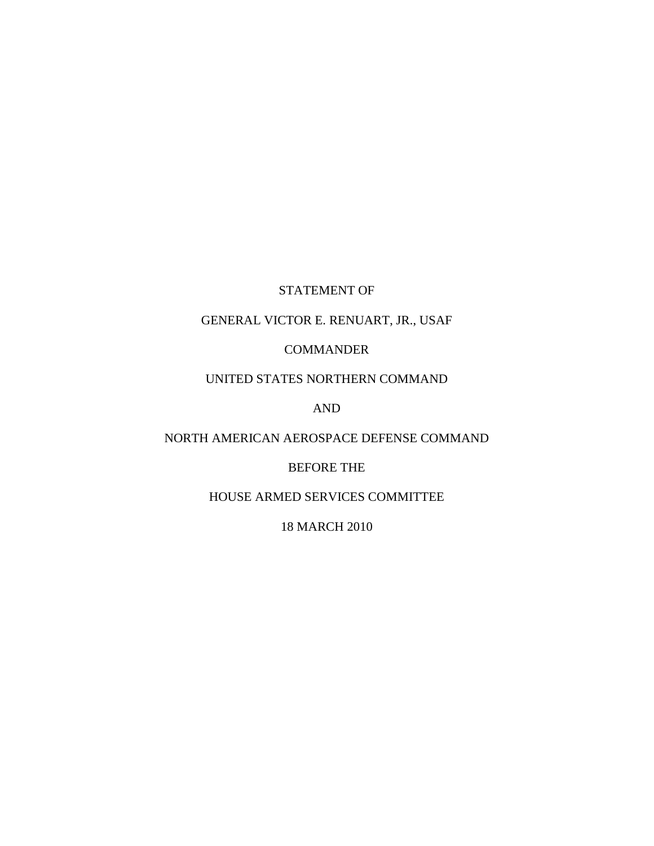# STATEMENT OF

## GENERAL VICTOR E. RENUART, JR., USAF

## COMMANDER

# UNITED STATES NORTHERN COMMAND

AND

### NORTH AMERICAN AEROSPACE DEFENSE COMMAND

## BEFORE THE

## HOUSE ARMED SERVICES COMMITTEE

### 18 MARCH 2010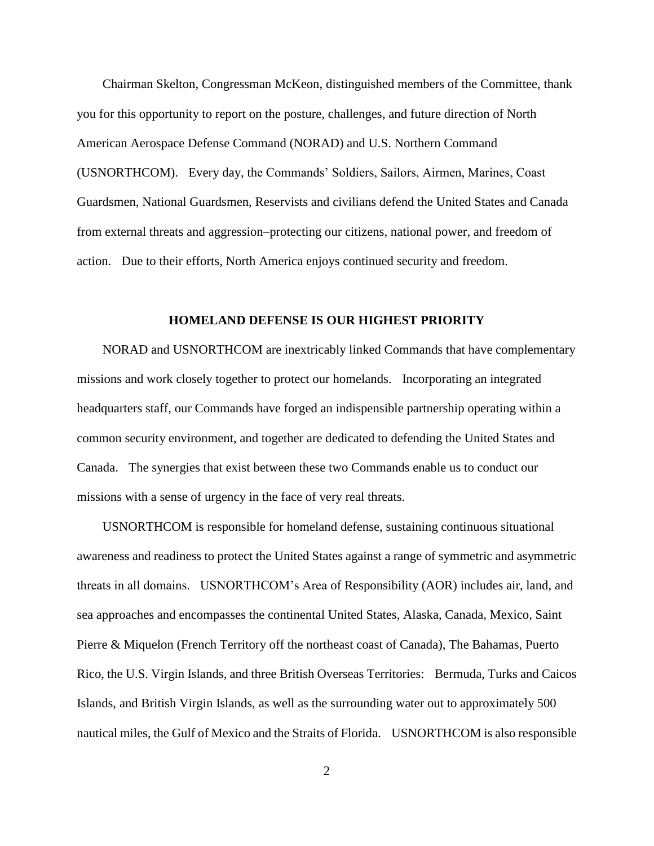Chairman Skelton, Congressman McKeon, distinguished members of the Committee, thank you for this opportunity to report on the posture, challenges, and future direction of North American Aerospace Defense Command (NORAD) and U.S. Northern Command (USNORTHCOM). Every day, the Commands' Soldiers, Sailors, Airmen, Marines, Coast Guardsmen, National Guardsmen, Reservists and civilians defend the United States and Canada from external threats and aggression–protecting our citizens, national power, and freedom of action. Due to their efforts, North America enjoys continued security and freedom.

#### **HOMELAND DEFENSE IS OUR HIGHEST PRIORITY**

 NORAD and USNORTHCOM are inextricably linked Commands that have complementary missions and work closely together to protect our homelands. Incorporating an integrated headquarters staff, our Commands have forged an indispensible partnership operating within a common security environment, and together are dedicated to defending the United States and Canada. The synergies that exist between these two Commands enable us to conduct our missions with a sense of urgency in the face of very real threats.

 USNORTHCOM is responsible for homeland defense, sustaining continuous situational awareness and readiness to protect the United States against a range of symmetric and asymmetric threats in all domains. USNORTHCOM's Area of Responsibility (AOR) includes air, land, and sea approaches and encompasses the continental United States, Alaska, Canada, Mexico, Saint Pierre & Miquelon (French Territory off the northeast coast of Canada), The Bahamas, Puerto Rico, the U.S. Virgin Islands, and three British Overseas Territories: Bermuda, Turks and Caicos Islands, and British Virgin Islands, as well as the surrounding water out to approximately 500 nautical miles, the Gulf of Mexico and the Straits of Florida. USNORTHCOM is also responsible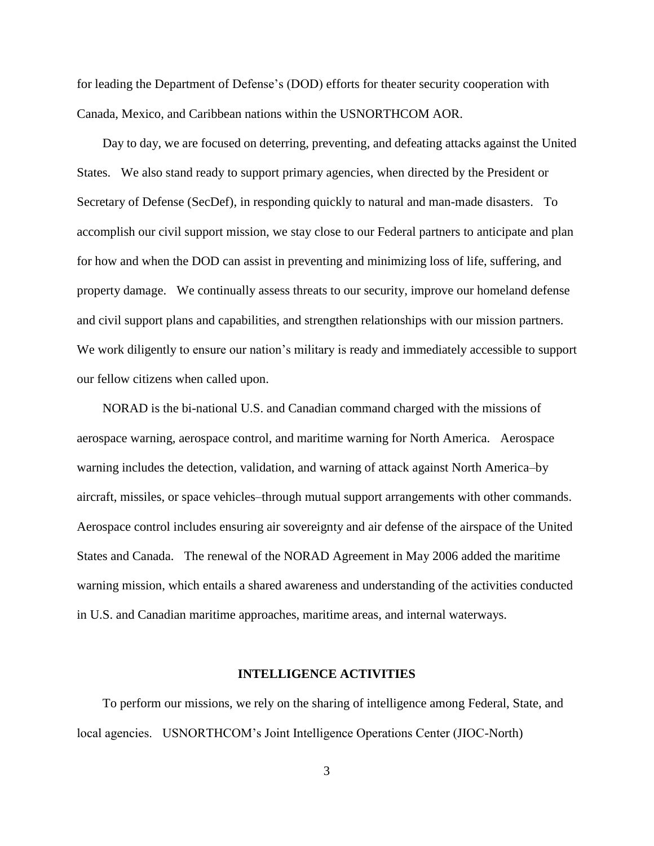for leading the Department of Defense's (DOD) efforts for theater security cooperation with Canada, Mexico, and Caribbean nations within the USNORTHCOM AOR.

 Day to day, we are focused on deterring, preventing, and defeating attacks against the United States. We also stand ready to support primary agencies, when directed by the President or Secretary of Defense (SecDef), in responding quickly to natural and man-made disasters. To accomplish our civil support mission, we stay close to our Federal partners to anticipate and plan for how and when the DOD can assist in preventing and minimizing loss of life, suffering, and property damage. We continually assess threats to our security, improve our homeland defense and civil support plans and capabilities, and strengthen relationships with our mission partners. We work diligently to ensure our nation's military is ready and immediately accessible to support our fellow citizens when called upon.

 NORAD is the bi-national U.S. and Canadian command charged with the missions of aerospace warning, aerospace control, and maritime warning for North America. Aerospace warning includes the detection, validation, and warning of attack against North America–by aircraft, missiles, or space vehicles–through mutual support arrangements with other commands. Aerospace control includes ensuring air sovereignty and air defense of the airspace of the United States and Canada. The renewal of the NORAD Agreement in May 2006 added the maritime warning mission, which entails a shared awareness and understanding of the activities conducted in U.S. and Canadian maritime approaches, maritime areas, and internal waterways.

#### **INTELLIGENCE ACTIVITIES**

 To perform our missions, we rely on the sharing of intelligence among Federal, State, and local agencies. USNORTHCOM's Joint Intelligence Operations Center (JIOC-North)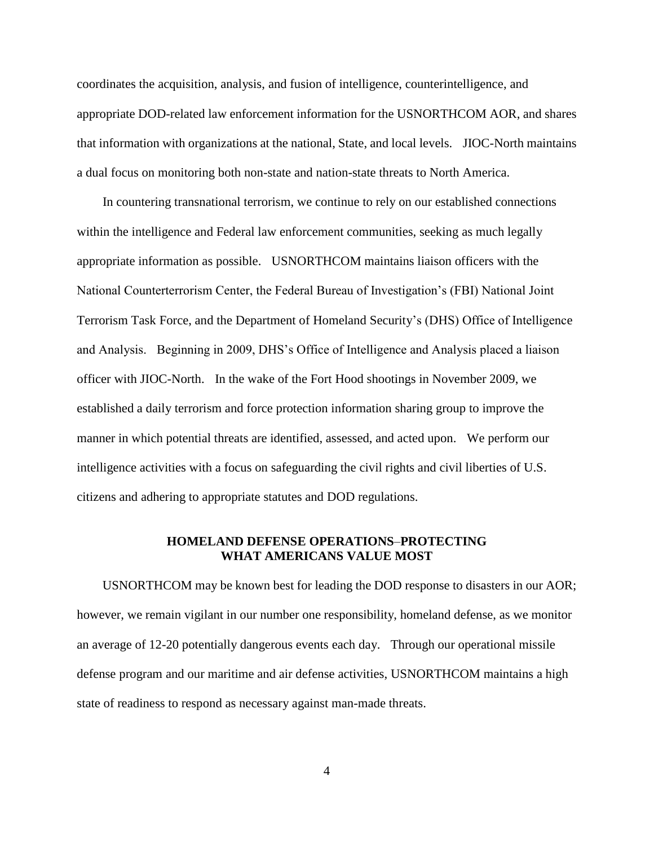coordinates the acquisition, analysis, and fusion of intelligence, counterintelligence, and appropriate DOD-related law enforcement information for the USNORTHCOM AOR, and shares that information with organizations at the national, State, and local levels. JIOC-North maintains a dual focus on monitoring both non-state and nation-state threats to North America.

 In countering transnational terrorism, we continue to rely on our established connections within the intelligence and Federal law enforcement communities, seeking as much legally appropriate information as possible. USNORTHCOM maintains liaison officers with the National Counterterrorism Center, the Federal Bureau of Investigation's (FBI) National Joint Terrorism Task Force, and the Department of Homeland Security's (DHS) Office of Intelligence and Analysis. Beginning in 2009, DHS's Office of Intelligence and Analysis placed a liaison officer with JIOC-North. In the wake of the Fort Hood shootings in November 2009, we established a daily terrorism and force protection information sharing group to improve the manner in which potential threats are identified, assessed, and acted upon. We perform our intelligence activities with a focus on safeguarding the civil rights and civil liberties of U.S. citizens and adhering to appropriate statutes and DOD regulations.

### **HOMELAND DEFENSE OPERATIONS**–**PROTECTING WHAT AMERICANS VALUE MOST**

 USNORTHCOM may be known best for leading the DOD response to disasters in our AOR; however, we remain vigilant in our number one responsibility, homeland defense, as we monitor an average of 12-20 potentially dangerous events each day. Through our operational missile defense program and our maritime and air defense activities, USNORTHCOM maintains a high state of readiness to respond as necessary against man-made threats.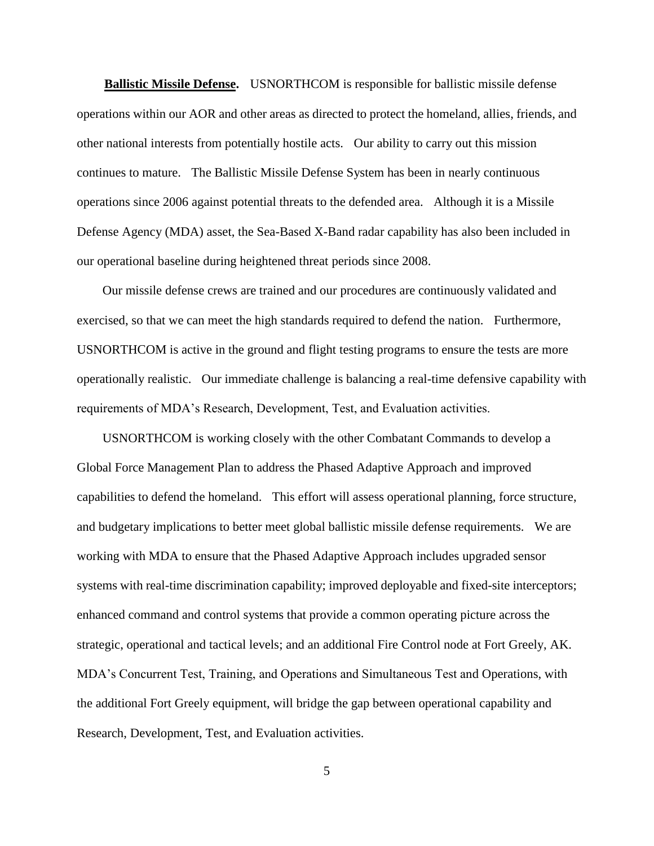**Ballistic Missile Defense.** USNORTHCOM is responsible for ballistic missile defense operations within our AOR and other areas as directed to protect the homeland, allies, friends, and other national interests from potentially hostile acts. Our ability to carry out this mission continues to mature. The Ballistic Missile Defense System has been in nearly continuous operations since 2006 against potential threats to the defended area. Although it is a Missile Defense Agency (MDA) asset, the Sea-Based X-Band radar capability has also been included in our operational baseline during heightened threat periods since 2008.

 Our missile defense crews are trained and our procedures are continuously validated and exercised, so that we can meet the high standards required to defend the nation. Furthermore, USNORTHCOM is active in the ground and flight testing programs to ensure the tests are more operationally realistic. Our immediate challenge is balancing a real-time defensive capability with requirements of MDA's Research, Development, Test, and Evaluation activities.

 USNORTHCOM is working closely with the other Combatant Commands to develop a Global Force Management Plan to address the Phased Adaptive Approach and improved capabilities to defend the homeland. This effort will assess operational planning, force structure, and budgetary implications to better meet global ballistic missile defense requirements. We are working with MDA to ensure that the Phased Adaptive Approach includes upgraded sensor systems with real-time discrimination capability; improved deployable and fixed-site interceptors; enhanced command and control systems that provide a common operating picture across the strategic, operational and tactical levels; and an additional Fire Control node at Fort Greely, AK. MDA's Concurrent Test, Training, and Operations and Simultaneous Test and Operations, with the additional Fort Greely equipment, will bridge the gap between operational capability and Research, Development, Test, and Evaluation activities.

5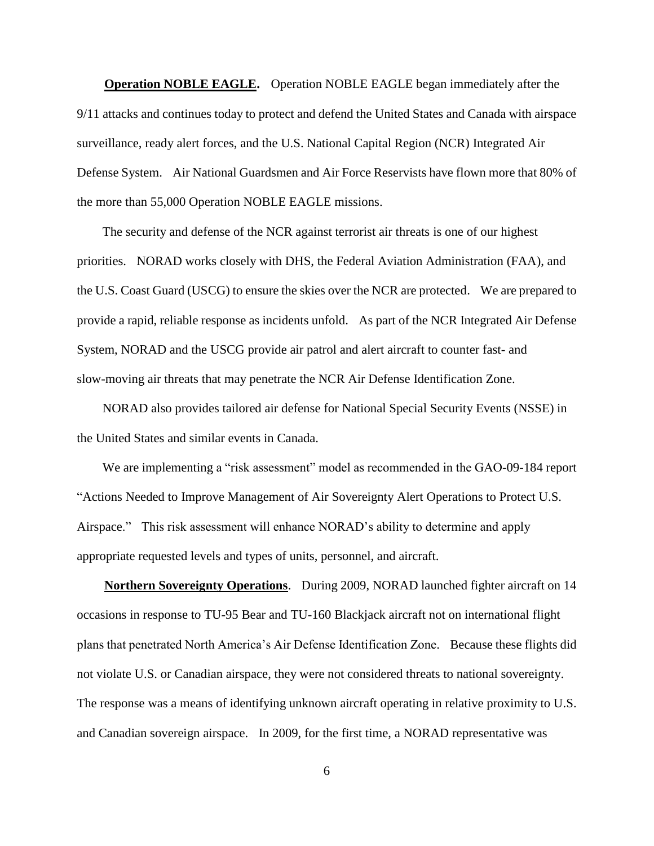**Operation NOBLE EAGLE.** Operation NOBLE EAGLE began immediately after the 9/11 attacks and continues today to protect and defend the United States and Canada with airspace surveillance, ready alert forces, and the U.S. National Capital Region (NCR) Integrated Air Defense System. Air National Guardsmen and Air Force Reservists have flown more that 80% of the more than 55,000 Operation NOBLE EAGLE missions.

 The security and defense of the NCR against terrorist air threats is one of our highest priorities. NORAD works closely with DHS, the Federal Aviation Administration (FAA), and the U.S. Coast Guard (USCG) to ensure the skies over the NCR are protected. We are prepared to provide a rapid, reliable response as incidents unfold. As part of the NCR Integrated Air Defense System, NORAD and the USCG provide air patrol and alert aircraft to counter fast- and slow-moving air threats that may penetrate the NCR Air Defense Identification Zone.

 NORAD also provides tailored air defense for National Special Security Events (NSSE) in the United States and similar events in Canada.

We are implementing a "risk assessment" model as recommended in the GAO-09-184 report ―Actions Needed to Improve Management of Air Sovereignty Alert Operations to Protect U.S. Airspace." This risk assessment will enhance NORAD's ability to determine and apply appropriate requested levels and types of units, personnel, and aircraft.

 **Northern Sovereignty Operations**. During 2009, NORAD launched fighter aircraft on 14 occasions in response to TU-95 Bear and TU-160 Blackjack aircraft not on international flight plans that penetrated North America's Air Defense Identification Zone. Because these flights did not violate U.S. or Canadian airspace, they were not considered threats to national sovereignty. The response was a means of identifying unknown aircraft operating in relative proximity to U.S. and Canadian sovereign airspace. In 2009, for the first time, a NORAD representative was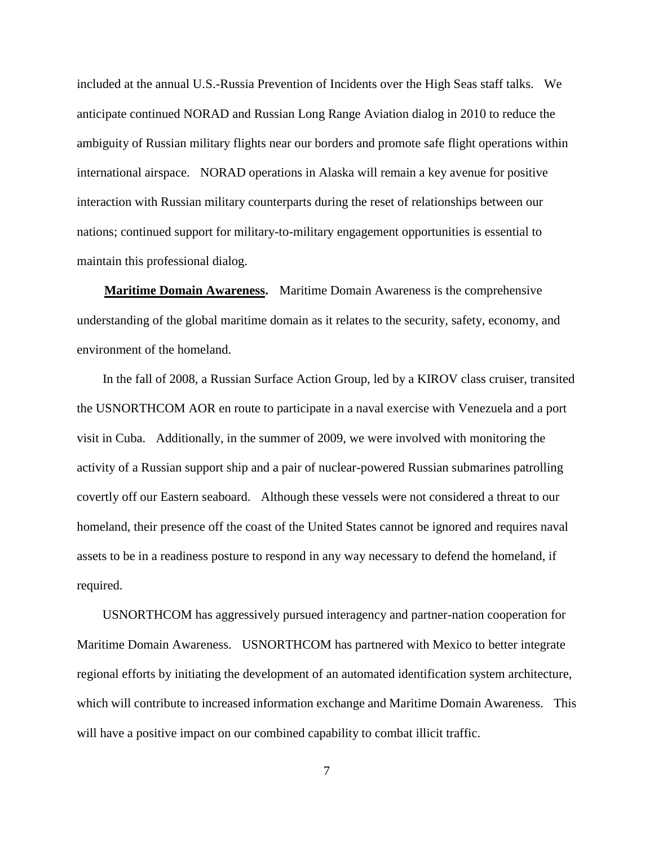included at the annual U.S.-Russia Prevention of Incidents over the High Seas staff talks. We anticipate continued NORAD and Russian Long Range Aviation dialog in 2010 to reduce the ambiguity of Russian military flights near our borders and promote safe flight operations within international airspace. NORAD operations in Alaska will remain a key avenue for positive interaction with Russian military counterparts during the reset of relationships between our nations; continued support for military-to-military engagement opportunities is essential to maintain this professional dialog.

 **Maritime Domain Awareness.** Maritime Domain Awareness is the comprehensive understanding of the global maritime domain as it relates to the security, safety, economy, and environment of the homeland.

 In the fall of 2008, a Russian Surface Action Group, led by a KIROV class cruiser, transited the USNORTHCOM AOR en route to participate in a naval exercise with Venezuela and a port visit in Cuba. Additionally, in the summer of 2009, we were involved with monitoring the activity of a Russian support ship and a pair of nuclear-powered Russian submarines patrolling covertly off our Eastern seaboard. Although these vessels were not considered a threat to our homeland, their presence off the coast of the United States cannot be ignored and requires naval assets to be in a readiness posture to respond in any way necessary to defend the homeland, if required.

 USNORTHCOM has aggressively pursued interagency and partner-nation cooperation for Maritime Domain Awareness. USNORTHCOM has partnered with Mexico to better integrate regional efforts by initiating the development of an automated identification system architecture, which will contribute to increased information exchange and Maritime Domain Awareness. This will have a positive impact on our combined capability to combat illicit traffic.

7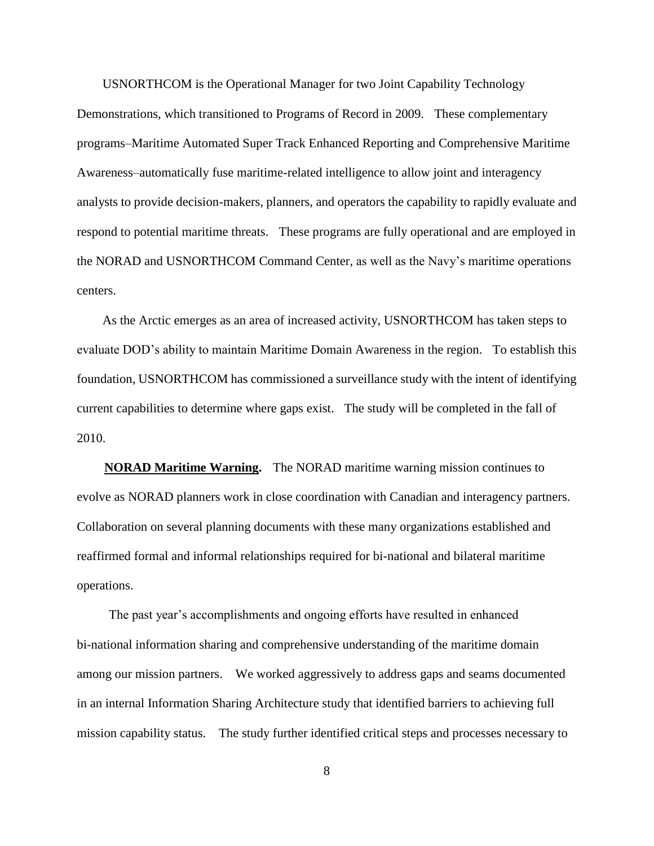USNORTHCOM is the Operational Manager for two Joint Capability Technology Demonstrations, which transitioned to Programs of Record in 2009. These complementary programs–Maritime Automated Super Track Enhanced Reporting and Comprehensive Maritime Awareness–automatically fuse maritime-related intelligence to allow joint and interagency analysts to provide decision-makers, planners, and operators the capability to rapidly evaluate and respond to potential maritime threats. These programs are fully operational and are employed in the NORAD and USNORTHCOM Command Center, as well as the Navy's maritime operations centers.

 As the Arctic emerges as an area of increased activity, USNORTHCOM has taken steps to evaluate DOD's ability to maintain Maritime Domain Awareness in the region. To establish this foundation, USNORTHCOM has commissioned a surveillance study with the intent of identifying current capabilities to determine where gaps exist. The study will be completed in the fall of 2010.

 **NORAD Maritime Warning.** The NORAD maritime warning mission continues to evolve as NORAD planners work in close coordination with Canadian and interagency partners. Collaboration on several planning documents with these many organizations established and reaffirmed formal and informal relationships required for bi-national and bilateral maritime operations.

 The past year's accomplishments and ongoing efforts have resulted in enhanced bi-national information sharing and comprehensive understanding of the maritime domain among our mission partners. We worked aggressively to address gaps and seams documented in an internal Information Sharing Architecture study that identified barriers to achieving full mission capability status. The study further identified critical steps and processes necessary to

8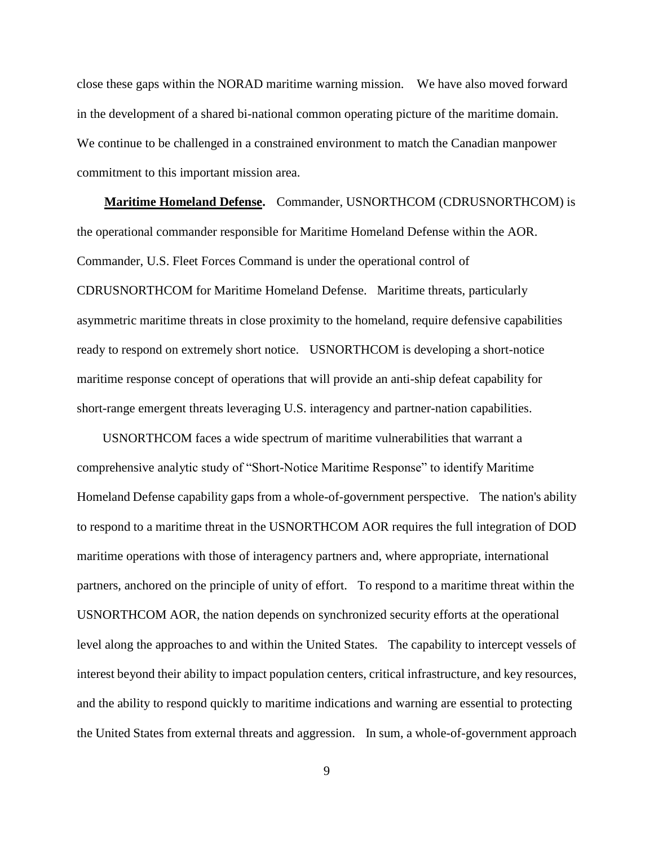close these gaps within the NORAD maritime warning mission. We have also moved forward in the development of a shared bi-national common operating picture of the maritime domain. We continue to be challenged in a constrained environment to match the Canadian manpower commitment to this important mission area.

 **Maritime Homeland Defense.** Commander, USNORTHCOM (CDRUSNORTHCOM) is the operational commander responsible for Maritime Homeland Defense within the AOR. Commander, U.S. Fleet Forces Command is under the operational control of CDRUSNORTHCOM for Maritime Homeland Defense. Maritime threats, particularly asymmetric maritime threats in close proximity to the homeland, require defensive capabilities ready to respond on extremely short notice. USNORTHCOM is developing a short-notice maritime response concept of operations that will provide an anti-ship defeat capability for short-range emergent threats leveraging U.S. interagency and partner-nation capabilities.

 USNORTHCOM faces a wide spectrum of maritime vulnerabilities that warrant a comprehensive analytic study of "Short-Notice Maritime Response" to identify Maritime Homeland Defense capability gaps from a whole-of-government perspective. The nation's ability to respond to a maritime threat in the USNORTHCOM AOR requires the full integration of DOD maritime operations with those of interagency partners and, where appropriate, international partners, anchored on the principle of unity of effort. To respond to a maritime threat within the USNORTHCOM AOR, the nation depends on synchronized security efforts at the operational level along the approaches to and within the United States. The capability to intercept vessels of interest beyond their ability to impact population centers, critical infrastructure, and key resources, and the ability to respond quickly to maritime indications and warning are essential to protecting the United States from external threats and aggression. In sum, a whole-of-government approach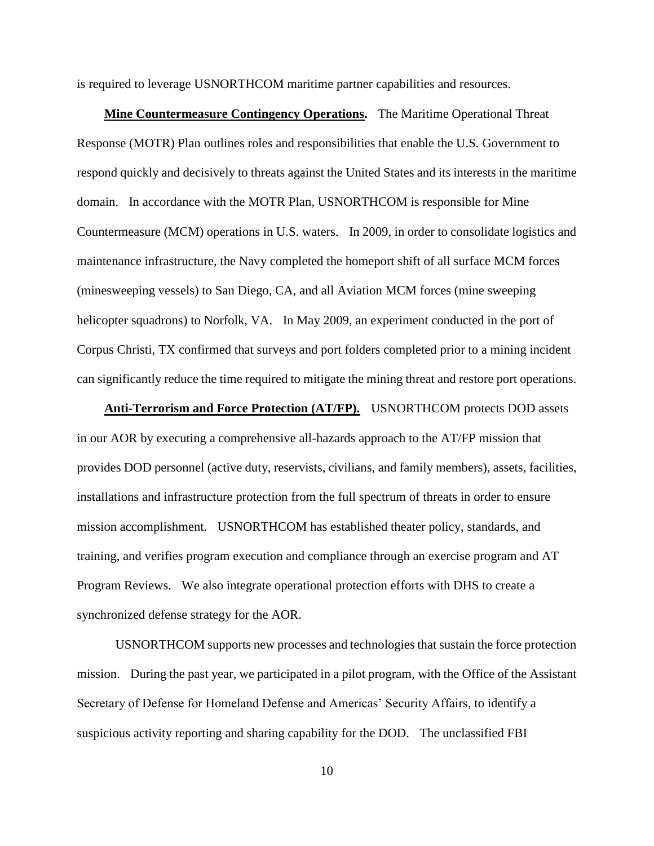is required to leverage USNORTHCOM maritime partner capabilities and resources.

 **Mine Countermeasure Contingency Operations.** The Maritime Operational Threat Response (MOTR) Plan outlines roles and responsibilities that enable the U.S. Government to respond quickly and decisively to threats against the United States and its interests in the maritime domain. In accordance with the MOTR Plan, USNORTHCOM is responsible for Mine Countermeasure (MCM) operations in U.S. waters. In 2009, in order to consolidate logistics and maintenance infrastructure, the Navy completed the homeport shift of all surface MCM forces (minesweeping vessels) to San Diego, CA, and all Aviation MCM forces (mine sweeping helicopter squadrons) to Norfolk, VA. In May 2009, an experiment conducted in the port of Corpus Christi, TX confirmed that surveys and port folders completed prior to a mining incident can significantly reduce the time required to mitigate the mining threat and restore port operations.

 **Anti-Terrorism and Force Protection (AT/FP).** USNORTHCOM protects DOD assets in our AOR by executing a comprehensive all-hazards approach to the AT/FP mission that provides DOD personnel (active duty, reservists, civilians, and family members), assets, facilities, installations and infrastructure protection from the full spectrum of threats in order to ensure mission accomplishment. USNORTHCOM has established theater policy, standards, and training, and verifies program execution and compliance through an exercise program and AT Program Reviews. We also integrate operational protection efforts with DHS to create a synchronized defense strategy for the AOR.

USNORTHCOM supports new processes and technologies that sustain the force protection mission. During the past year, we participated in a pilot program, with the Office of the Assistant Secretary of Defense for Homeland Defense and Americas' Security Affairs, to identify a suspicious activity reporting and sharing capability for the DOD. The unclassified FBI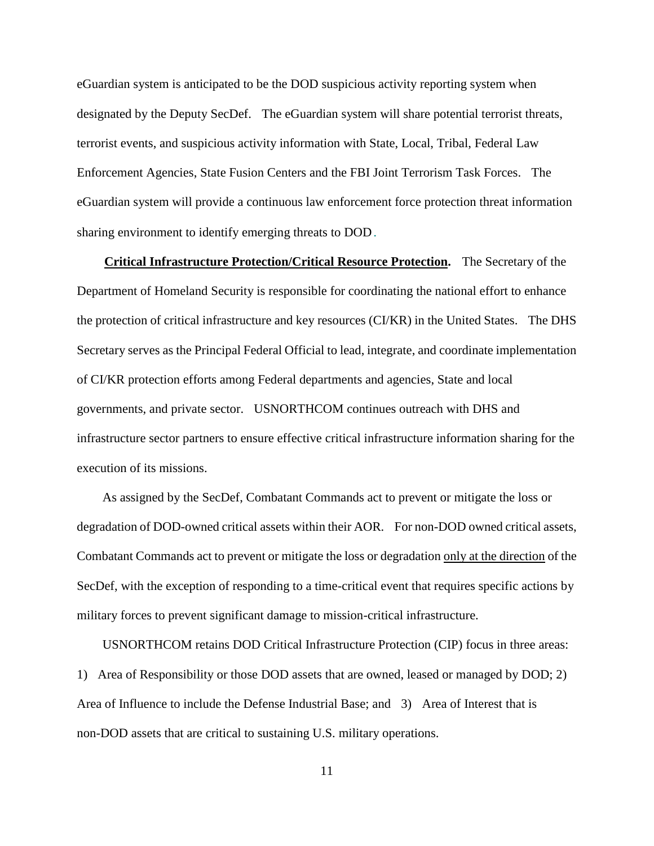eGuardian system is anticipated to be the DOD suspicious activity reporting system when designated by the Deputy SecDef. The eGuardian system will share potential terrorist threats, terrorist events, and suspicious activity information with State, Local, Tribal, Federal Law Enforcement Agencies, State Fusion Centers and the FBI Joint Terrorism Task Forces. The eGuardian system will provide a continuous law enforcement force protection threat information sharing environment to identify emerging threats to DOD.

 **Critical Infrastructure Protection/Critical Resource Protection.** The Secretary of the Department of Homeland Security is responsible for coordinating the national effort to enhance the protection of critical infrastructure and key resources (CI/KR) in the United States. The DHS Secretary serves as the Principal Federal Official to lead, integrate, and coordinate implementation of CI/KR protection efforts among Federal departments and agencies, State and local governments, and private sector. USNORTHCOM continues outreach with DHS and infrastructure sector partners to ensure effective critical infrastructure information sharing for the execution of its missions.

 As assigned by the SecDef, Combatant Commands act to prevent or mitigate the loss or degradation of DOD-owned critical assets within their AOR. For non-DOD owned critical assets, Combatant Commands act to prevent or mitigate the loss or degradation only at the direction of the SecDef, with the exception of responding to a time-critical event that requires specific actions by military forces to prevent significant damage to mission-critical infrastructure.

 USNORTHCOM retains DOD Critical Infrastructure Protection (CIP) focus in three areas: 1) Area of Responsibility or those DOD assets that are owned, leased or managed by DOD; 2) Area of Influence to include the Defense Industrial Base; and 3) Area of Interest that is non-DOD assets that are critical to sustaining U.S. military operations.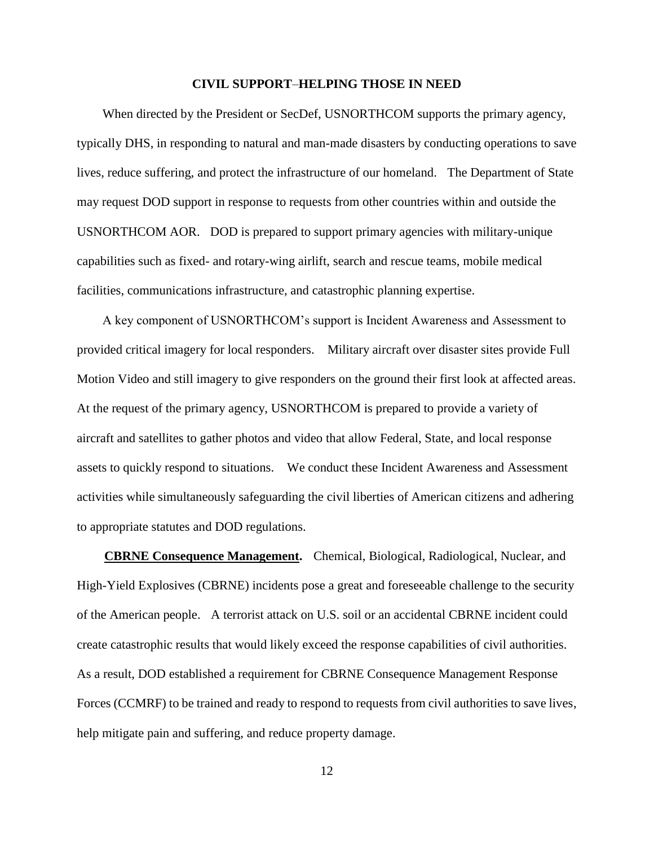#### **CIVIL SUPPORT**–**HELPING THOSE IN NEED**

 When directed by the President or SecDef, USNORTHCOM supports the primary agency, typically DHS, in responding to natural and man-made disasters by conducting operations to save lives, reduce suffering, and protect the infrastructure of our homeland. The Department of State may request DOD support in response to requests from other countries within and outside the USNORTHCOM AOR. DOD is prepared to support primary agencies with military-unique capabilities such as fixed- and rotary-wing airlift, search and rescue teams, mobile medical facilities, communications infrastructure, and catastrophic planning expertise.

 A key component of USNORTHCOM's support is Incident Awareness and Assessment to provided critical imagery for local responders. Military aircraft over disaster sites provide Full Motion Video and still imagery to give responders on the ground their first look at affected areas. At the request of the primary agency, USNORTHCOM is prepared to provide a variety of aircraft and satellites to gather photos and video that allow Federal, State, and local response assets to quickly respond to situations. We conduct these Incident Awareness and Assessment activities while simultaneously safeguarding the civil liberties of American citizens and adhering to appropriate statutes and DOD regulations.

 **CBRNE Consequence Management.** Chemical, Biological, Radiological, Nuclear, and High-Yield Explosives (CBRNE) incidents pose a great and foreseeable challenge to the security of the American people. A terrorist attack on U.S. soil or an accidental CBRNE incident could create catastrophic results that would likely exceed the response capabilities of civil authorities. As a result, DOD established a requirement for CBRNE Consequence Management Response Forces (CCMRF) to be trained and ready to respond to requests from civil authorities to save lives, help mitigate pain and suffering, and reduce property damage.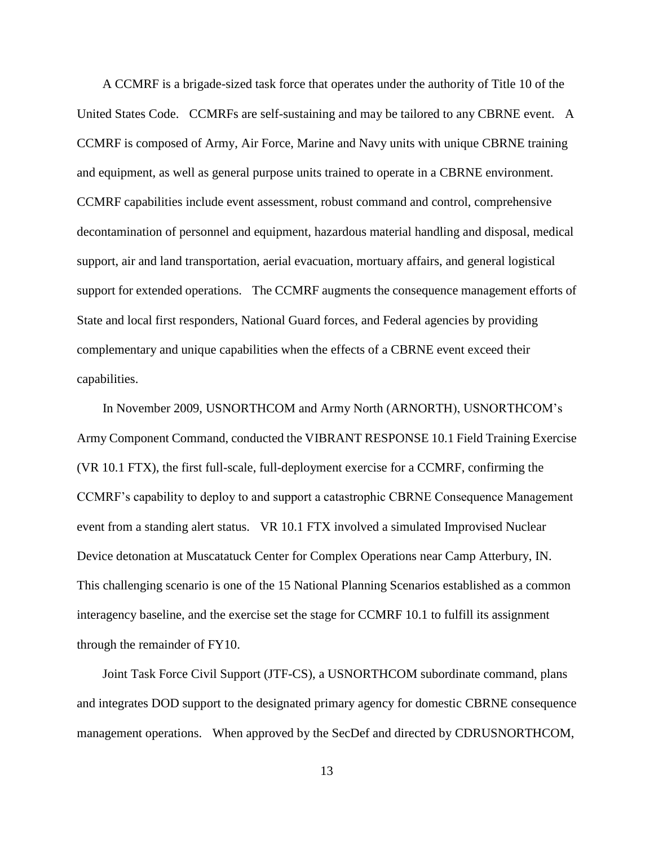A CCMRF is a brigade-sized task force that operates under the authority of Title 10 of the United States Code. CCMRFs are self-sustaining and may be tailored to any CBRNE event. A CCMRF is composed of Army, Air Force, Marine and Navy units with unique CBRNE training and equipment, as well as general purpose units trained to operate in a CBRNE environment. CCMRF capabilities include event assessment, robust command and control, comprehensive decontamination of personnel and equipment, hazardous material handling and disposal, medical support, air and land transportation, aerial evacuation, mortuary affairs, and general logistical support for extended operations. The CCMRF augments the consequence management efforts of State and local first responders, National Guard forces, and Federal agencies by providing complementary and unique capabilities when the effects of a CBRNE event exceed their capabilities.

 In November 2009, USNORTHCOM and Army North (ARNORTH), USNORTHCOM's Army Component Command, conducted the VIBRANT RESPONSE 10.1 Field Training Exercise (VR 10.1 FTX), the first full-scale, full-deployment exercise for a CCMRF, confirming the CCMRF's capability to deploy to and support a catastrophic CBRNE Consequence Management event from a standing alert status. VR 10.1 FTX involved a simulated Improvised Nuclear Device detonation at Muscatatuck Center for Complex Operations near Camp Atterbury, IN. This challenging scenario is one of the 15 National Planning Scenarios established as a common interagency baseline, and the exercise set the stage for CCMRF 10.1 to fulfill its assignment through the remainder of FY10.

 Joint Task Force Civil Support (JTF-CS), a USNORTHCOM subordinate command, plans and integrates DOD support to the designated primary agency for domestic CBRNE consequence management operations. When approved by the SecDef and directed by CDRUSNORTHCOM,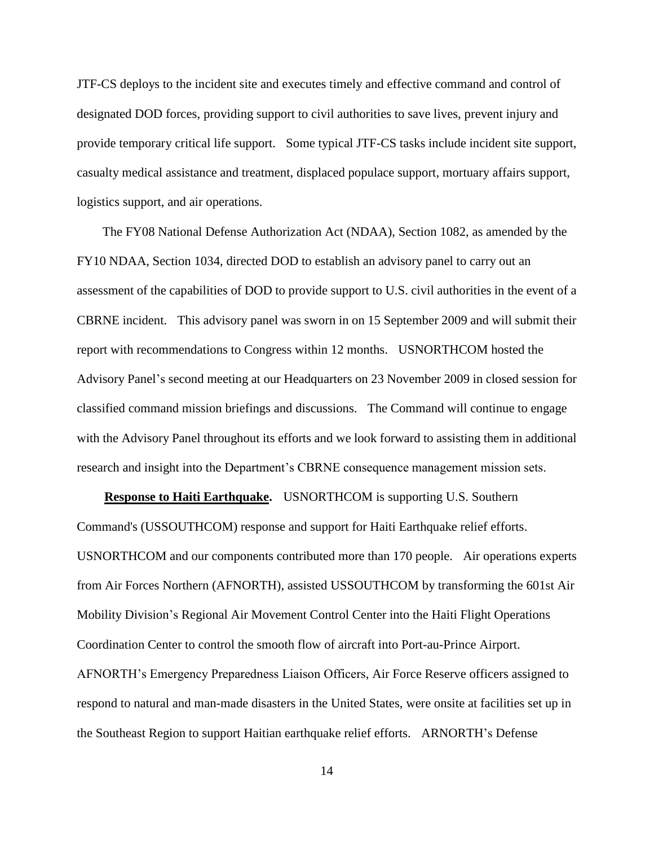JTF-CS deploys to the incident site and executes timely and effective command and control of designated DOD forces, providing support to civil authorities to save lives, prevent injury and provide temporary critical life support. Some typical JTF-CS tasks include incident site support, casualty medical assistance and treatment, displaced populace support, mortuary affairs support, logistics support, and air operations.

 The FY08 National Defense Authorization Act (NDAA), Section 1082, as amended by the FY10 NDAA, Section 1034, directed DOD to establish an advisory panel to carry out an assessment of the capabilities of DOD to provide support to U.S. civil authorities in the event of a CBRNE incident. This advisory panel was sworn in on 15 September 2009 and will submit their report with recommendations to Congress within 12 months. USNORTHCOM hosted the Advisory Panel's second meeting at our Headquarters on 23 November 2009 in closed session for classified command mission briefings and discussions. The Command will continue to engage with the Advisory Panel throughout its efforts and we look forward to assisting them in additional research and insight into the Department's CBRNE consequence management mission sets.

 **Response to Haiti Earthquake.** USNORTHCOM is supporting U.S. Southern Command's (USSOUTHCOM) response and support for Haiti Earthquake relief efforts. USNORTHCOM and our components contributed more than 170 people. Air operations experts from Air Forces Northern (AFNORTH), assisted USSOUTHCOM by transforming the 601st Air Mobility Division's Regional Air Movement Control Center into the Haiti Flight Operations Coordination Center to control the smooth flow of aircraft into Port-au-Prince Airport. AFNORTH's Emergency Preparedness Liaison Officers, Air Force Reserve officers assigned to respond to natural and man-made disasters in the United States, were onsite at facilities set up in the Southeast Region to support Haitian earthquake relief efforts. ARNORTH's Defense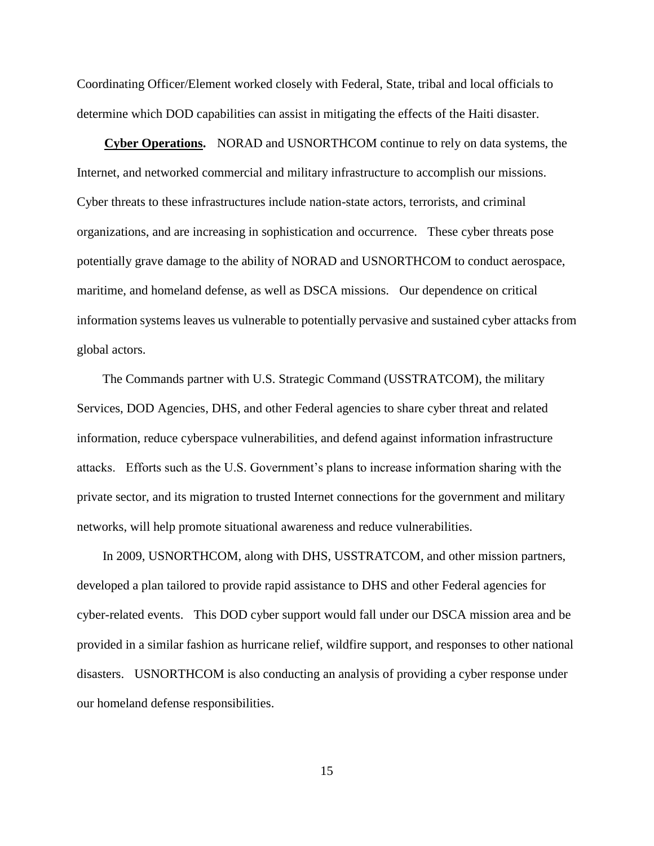Coordinating Officer/Element worked closely with Federal, State, tribal and local officials to determine which DOD capabilities can assist in mitigating the effects of the Haiti disaster.

 **Cyber Operations.** NORAD and USNORTHCOM continue to rely on data systems, the Internet, and networked commercial and military infrastructure to accomplish our missions. Cyber threats to these infrastructures include nation-state actors, terrorists, and criminal organizations, and are increasing in sophistication and occurrence. These cyber threats pose potentially grave damage to the ability of NORAD and USNORTHCOM to conduct aerospace, maritime, and homeland defense, as well as DSCA missions. Our dependence on critical information systems leaves us vulnerable to potentially pervasive and sustained cyber attacks from global actors.

 The Commands partner with U.S. Strategic Command (USSTRATCOM), the military Services, DOD Agencies, DHS, and other Federal agencies to share cyber threat and related information, reduce cyberspace vulnerabilities, and defend against information infrastructure attacks. Efforts such as the U.S. Government's plans to increase information sharing with the private sector, and its migration to trusted Internet connections for the government and military networks, will help promote situational awareness and reduce vulnerabilities.

 In 2009, USNORTHCOM, along with DHS, USSTRATCOM, and other mission partners, developed a plan tailored to provide rapid assistance to DHS and other Federal agencies for cyber-related events. This DOD cyber support would fall under our DSCA mission area and be provided in a similar fashion as hurricane relief, wildfire support, and responses to other national disasters. USNORTHCOM is also conducting an analysis of providing a cyber response under our homeland defense responsibilities.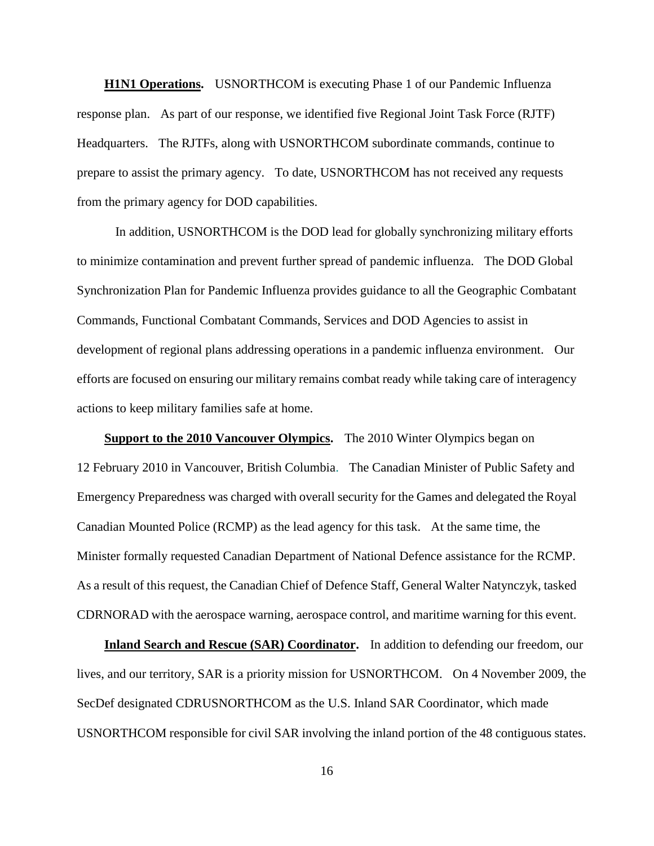**H1N1 Operations.** USNORTHCOM is executing Phase 1 of our Pandemic Influenza response plan. As part of our response, we identified five Regional Joint Task Force (RJTF) Headquarters. The RJTFs, along with USNORTHCOM subordinate commands, continue to prepare to assist the primary agency. To date, USNORTHCOM has not received any requests from the primary agency for DOD capabilities.

In addition, USNORTHCOM is the DOD lead for globally synchronizing military efforts to minimize contamination and prevent further spread of pandemic influenza. The DOD Global Synchronization Plan for Pandemic Influenza provides guidance to all the Geographic Combatant Commands, Functional Combatant Commands, Services and DOD Agencies to assist in development of regional plans addressing operations in a pandemic influenza environment. Our efforts are focused on ensuring our military remains combat ready while taking care of interagency actions to keep military families safe at home.

 **Support to the 2010 Vancouver Olympics.** The 2010 Winter Olympics began on 12 February 2010 in Vancouver, British Columbia. The Canadian Minister of Public Safety and Emergency Preparedness was charged with overall security for the Games and delegated the Royal Canadian Mounted Police (RCMP) as the lead agency for this task. At the same time, the Minister formally requested Canadian Department of National Defence assistance for the RCMP. As a result of this request, the Canadian Chief of Defence Staff, General Walter Natynczyk, tasked CDRNORAD with the aerospace warning, aerospace control, and maritime warning for this event.

**Inland Search and Rescue (SAR) Coordinator.** In addition to defending our freedom, our lives, and our territory, SAR is a priority mission for USNORTHCOM. On 4 November 2009, the SecDef designated CDRUSNORTHCOM as the U.S. Inland SAR Coordinator, which made USNORTHCOM responsible for civil SAR involving the inland portion of the 48 contiguous states.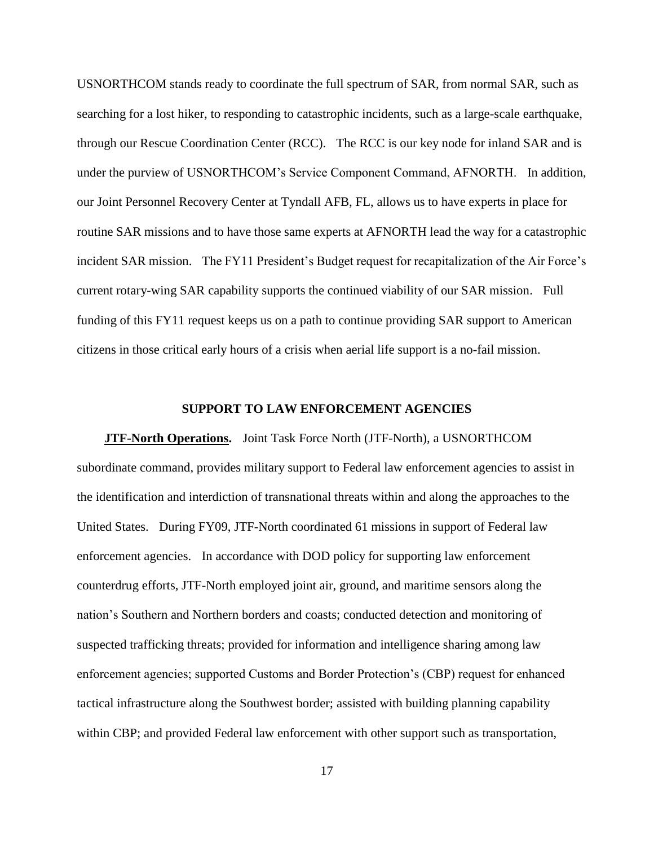USNORTHCOM stands ready to coordinate the full spectrum of SAR, from normal SAR, such as searching for a lost hiker, to responding to catastrophic incidents, such as a large-scale earthquake, through our Rescue Coordination Center (RCC). The RCC is our key node for inland SAR and is under the purview of USNORTHCOM's Service Component Command, AFNORTH. In addition, our Joint Personnel Recovery Center at Tyndall AFB, FL, allows us to have experts in place for routine SAR missions and to have those same experts at AFNORTH lead the way for a catastrophic incident SAR mission. The FY11 President's Budget request for recapitalization of the Air Force's current rotary-wing SAR capability supports the continued viability of our SAR mission. Full funding of this FY11 request keeps us on a path to continue providing SAR support to American citizens in those critical early hours of a crisis when aerial life support is a no-fail mission.

#### **SUPPORT TO LAW ENFORCEMENT AGENCIES**

**JTF-North Operations.** Joint Task Force North (JTF-North), a USNORTHCOM subordinate command, provides military support to Federal law enforcement agencies to assist in the identification and interdiction of transnational threats within and along the approaches to the United States. During FY09, JTF-North coordinated 61 missions in support of Federal law enforcement agencies. In accordance with DOD policy for supporting law enforcement counterdrug efforts, JTF-North employed joint air, ground, and maritime sensors along the nation's Southern and Northern borders and coasts; conducted detection and monitoring of suspected trafficking threats; provided for information and intelligence sharing among law enforcement agencies; supported Customs and Border Protection's (CBP) request for enhanced tactical infrastructure along the Southwest border; assisted with building planning capability within CBP; and provided Federal law enforcement with other support such as transportation,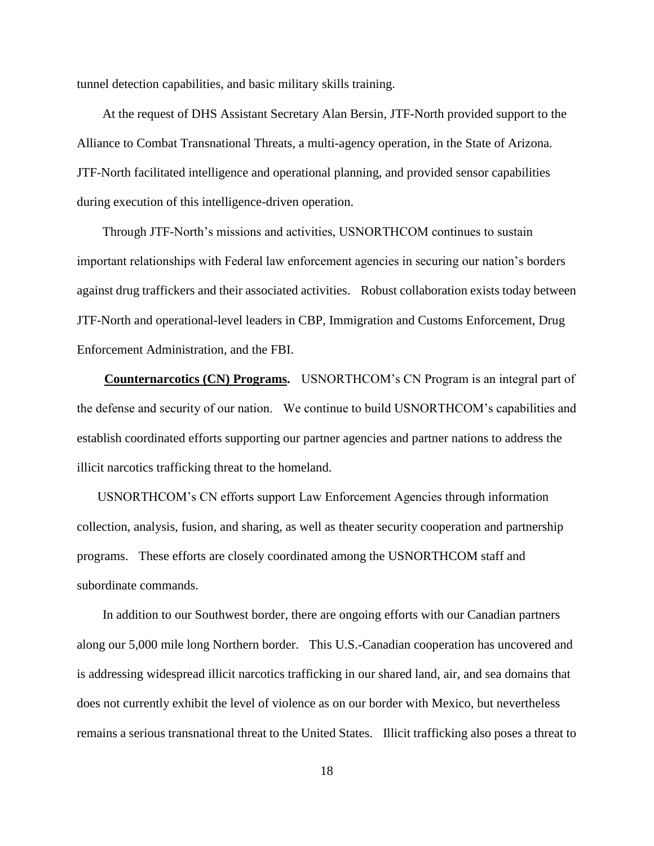tunnel detection capabilities, and basic military skills training.

 At the request of DHS Assistant Secretary Alan Bersin, JTF-North provided support to the Alliance to Combat Transnational Threats, a multi-agency operation, in the State of Arizona. JTF-North facilitated intelligence and operational planning, and provided sensor capabilities during execution of this intelligence-driven operation.

 Through JTF-North's missions and activities, USNORTHCOM continues to sustain important relationships with Federal law enforcement agencies in securing our nation's borders against drug traffickers and their associated activities. Robust collaboration exists today between JTF-North and operational-level leaders in CBP, Immigration and Customs Enforcement, Drug Enforcement Administration, and the FBI.

 **Counternarcotics (CN) Programs.** USNORTHCOM's CN Program is an integral part of the defense and security of our nation. We continue to build USNORTHCOM's capabilities and establish coordinated efforts supporting our partner agencies and partner nations to address the illicit narcotics trafficking threat to the homeland.

 USNORTHCOM's CN efforts support Law Enforcement Agencies through information collection, analysis, fusion, and sharing, as well as theater security cooperation and partnership programs. These efforts are closely coordinated among the USNORTHCOM staff and subordinate commands.

 In addition to our Southwest border, there are ongoing efforts with our Canadian partners along our 5,000 mile long Northern border. This U.S.-Canadian cooperation has uncovered and is addressing widespread illicit narcotics trafficking in our shared land, air, and sea domains that does not currently exhibit the level of violence as on our border with Mexico, but nevertheless remains a serious transnational threat to the United States. Illicit trafficking also poses a threat to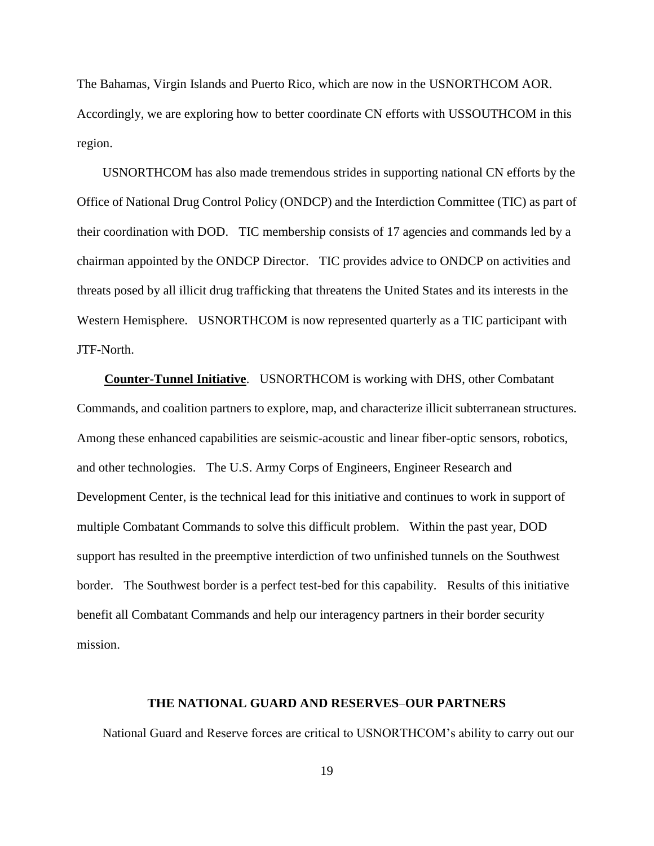The Bahamas, Virgin Islands and Puerto Rico, which are now in the USNORTHCOM AOR. Accordingly, we are exploring how to better coordinate CN efforts with USSOUTHCOM in this region.

 USNORTHCOM has also made tremendous strides in supporting national CN efforts by the Office of National Drug Control Policy (ONDCP) and the Interdiction Committee (TIC) as part of their coordination with DOD. TIC membership consists of 17 agencies and commands led by a chairman appointed by the ONDCP Director. TIC provides advice to ONDCP on activities and threats posed by all illicit drug trafficking that threatens the United States and its interests in the Western Hemisphere. USNORTHCOM is now represented quarterly as a TIC participant with JTF-North.

 **Counter-Tunnel Initiative**. USNORTHCOM is working with DHS, other Combatant Commands, and coalition partners to explore, map, and characterize illicit subterranean structures. Among these enhanced capabilities are seismic-acoustic and linear fiber-optic sensors, robotics, and other technologies. The U.S. Army Corps of Engineers, Engineer Research and Development Center, is the technical lead for this initiative and continues to work in support of multiple Combatant Commands to solve this difficult problem. Within the past year, DOD support has resulted in the preemptive interdiction of two unfinished tunnels on the Southwest border. The Southwest border is a perfect test-bed for this capability. Results of this initiative benefit all Combatant Commands and help our interagency partners in their border security mission.

#### **THE NATIONAL GUARD AND RESERVES**–**OUR PARTNERS**

National Guard and Reserve forces are critical to USNORTHCOM's ability to carry out our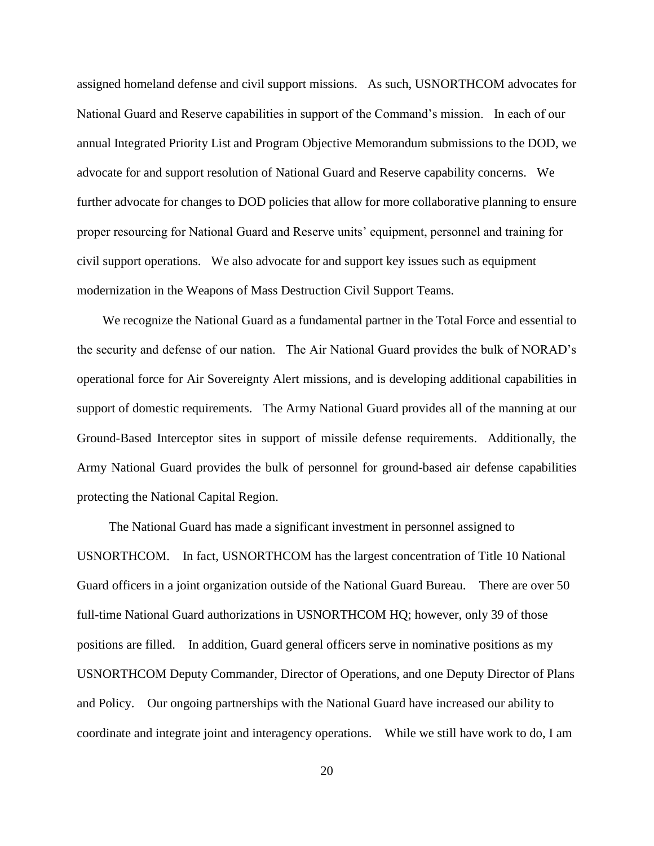assigned homeland defense and civil support missions. As such, USNORTHCOM advocates for National Guard and Reserve capabilities in support of the Command's mission. In each of our annual Integrated Priority List and Program Objective Memorandum submissions to the DOD, we advocate for and support resolution of National Guard and Reserve capability concerns. We further advocate for changes to DOD policies that allow for more collaborative planning to ensure proper resourcing for National Guard and Reserve units' equipment, personnel and training for civil support operations. We also advocate for and support key issues such as equipment modernization in the Weapons of Mass Destruction Civil Support Teams.

 We recognize the National Guard as a fundamental partner in the Total Force and essential to the security and defense of our nation. The Air National Guard provides the bulk of NORAD's operational force for Air Sovereignty Alert missions, and is developing additional capabilities in support of domestic requirements. The Army National Guard provides all of the manning at our Ground-Based Interceptor sites in support of missile defense requirements. Additionally, the Army National Guard provides the bulk of personnel for ground-based air defense capabilities protecting the National Capital Region.

 The National Guard has made a significant investment in personnel assigned to USNORTHCOM. In fact, USNORTHCOM has the largest concentration of Title 10 National Guard officers in a joint organization outside of the National Guard Bureau. There are over 50 full-time National Guard authorizations in USNORTHCOM HQ; however, only 39 of those positions are filled. In addition, Guard general officers serve in nominative positions as my USNORTHCOM Deputy Commander, Director of Operations, and one Deputy Director of Plans and Policy. Our ongoing partnerships with the National Guard have increased our ability to coordinate and integrate joint and interagency operations. While we still have work to do, I am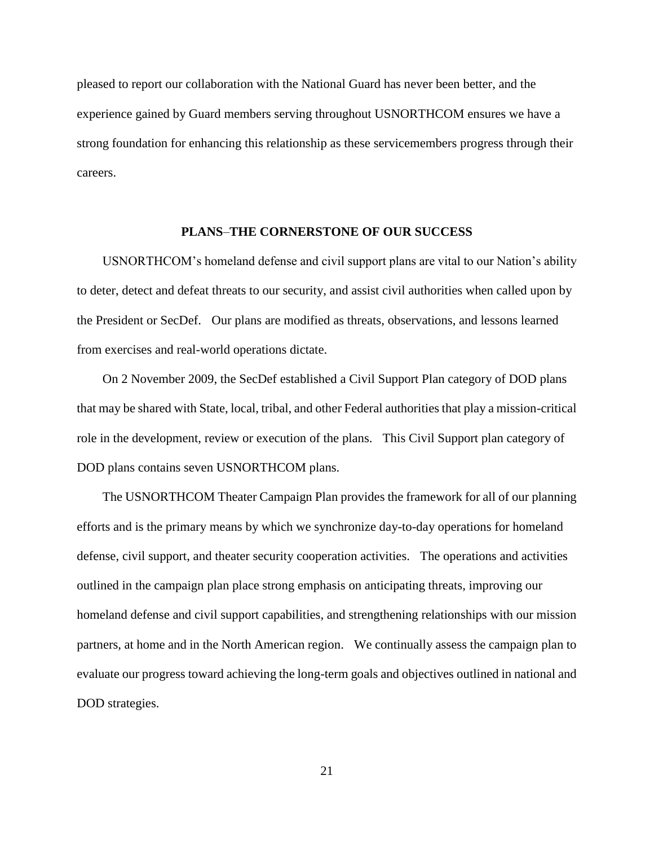pleased to report our collaboration with the National Guard has never been better, and the experience gained by Guard members serving throughout USNORTHCOM ensures we have a strong foundation for enhancing this relationship as these servicemembers progress through their careers.

#### **PLANS**–**THE CORNERSTONE OF OUR SUCCESS**

 USNORTHCOM's homeland defense and civil support plans are vital to our Nation's ability to deter, detect and defeat threats to our security, and assist civil authorities when called upon by the President or SecDef. Our plans are modified as threats, observations, and lessons learned from exercises and real-world operations dictate.

 On 2 November 2009, the SecDef established a Civil Support Plan category of DOD plans that may be shared with State, local, tribal, and other Federal authorities that play a mission-critical role in the development, review or execution of the plans. This Civil Support plan category of DOD plans contains seven USNORTHCOM plans.

 The USNORTHCOM Theater Campaign Plan provides the framework for all of our planning efforts and is the primary means by which we synchronize day-to-day operations for homeland defense, civil support, and theater security cooperation activities. The operations and activities outlined in the campaign plan place strong emphasis on anticipating threats, improving our homeland defense and civil support capabilities, and strengthening relationships with our mission partners, at home and in the North American region. We continually assess the campaign plan to evaluate our progress toward achieving the long-term goals and objectives outlined in national and DOD strategies.

21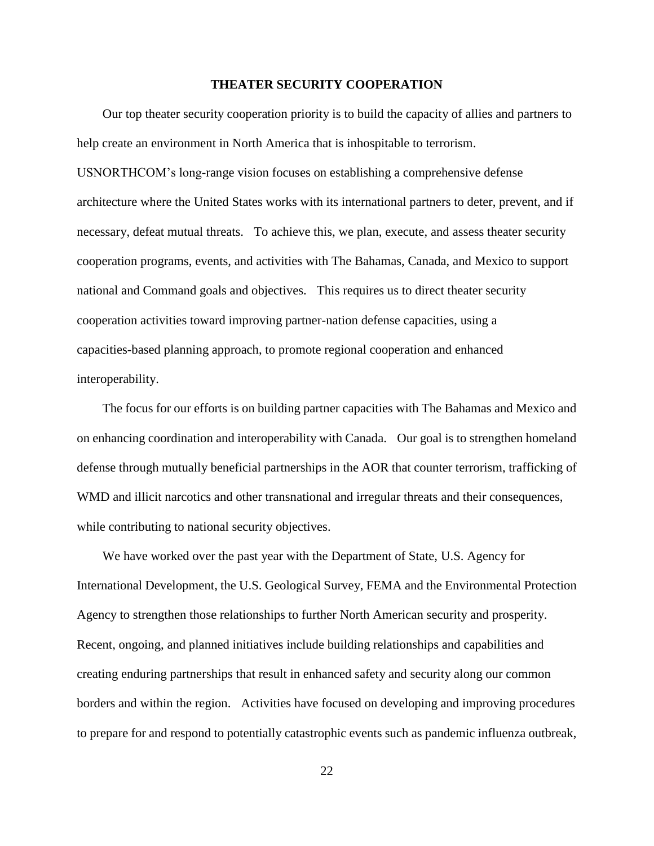#### **THEATER SECURITY COOPERATION**

 Our top theater security cooperation priority is to build the capacity of allies and partners to help create an environment in North America that is inhospitable to terrorism. USNORTHCOM's long-range vision focuses on establishing a comprehensive defense architecture where the United States works with its international partners to deter, prevent, and if necessary, defeat mutual threats. To achieve this, we plan, execute, and assess theater security cooperation programs, events, and activities with The Bahamas, Canada, and Mexico to support national and Command goals and objectives. This requires us to direct theater security cooperation activities toward improving partner-nation defense capacities, using a capacities-based planning approach, to promote regional cooperation and enhanced interoperability.

 The focus for our efforts is on building partner capacities with The Bahamas and Mexico and on enhancing coordination and interoperability with Canada. Our goal is to strengthen homeland defense through mutually beneficial partnerships in the AOR that counter terrorism, trafficking of WMD and illicit narcotics and other transnational and irregular threats and their consequences, while contributing to national security objectives.

 We have worked over the past year with the Department of State, U.S. Agency for International Development, the U.S. Geological Survey, FEMA and the Environmental Protection Agency to strengthen those relationships to further North American security and prosperity. Recent, ongoing, and planned initiatives include building relationships and capabilities and creating enduring partnerships that result in enhanced safety and security along our common borders and within the region. Activities have focused on developing and improving procedures to prepare for and respond to potentially catastrophic events such as pandemic influenza outbreak,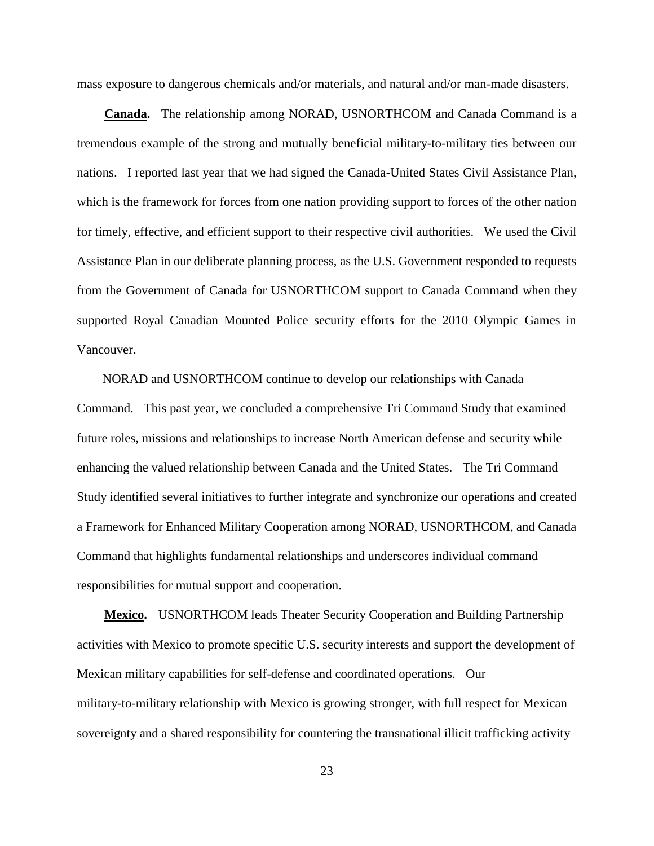mass exposure to dangerous chemicals and/or materials, and natural and/or man-made disasters.

 **Canada.** The relationship among NORAD, USNORTHCOM and Canada Command is a tremendous example of the strong and mutually beneficial military-to-military ties between our nations. I reported last year that we had signed the Canada-United States Civil Assistance Plan, which is the framework for forces from one nation providing support to forces of the other nation for timely, effective, and efficient support to their respective civil authorities. We used the Civil Assistance Plan in our deliberate planning process, as the U.S. Government responded to requests from the Government of Canada for USNORTHCOM support to Canada Command when they supported Royal Canadian Mounted Police security efforts for the 2010 Olympic Games in Vancouver.

 NORAD and USNORTHCOM continue to develop our relationships with Canada Command. This past year, we concluded a comprehensive Tri Command Study that examined future roles, missions and relationships to increase North American defense and security while enhancing the valued relationship between Canada and the United States. The Tri Command Study identified several initiatives to further integrate and synchronize our operations and created a Framework for Enhanced Military Cooperation among NORAD, USNORTHCOM, and Canada Command that highlights fundamental relationships and underscores individual command responsibilities for mutual support and cooperation.

**Mexico.** USNORTHCOM leads Theater Security Cooperation and Building Partnership activities with Mexico to promote specific U.S. security interests and support the development of Mexican military capabilities for self-defense and coordinated operations. Our military-to-military relationship with Mexico is growing stronger, with full respect for Mexican sovereignty and a shared responsibility for countering the transnational illicit trafficking activity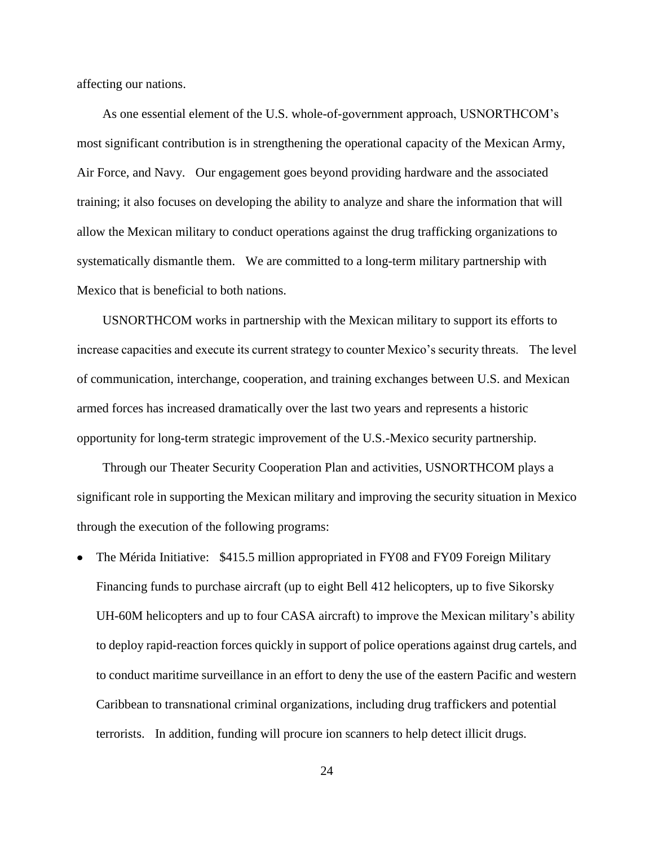affecting our nations.

 As one essential element of the U.S. whole-of-government approach, USNORTHCOM's most significant contribution is in strengthening the operational capacity of the Mexican Army, Air Force, and Navy. Our engagement goes beyond providing hardware and the associated training; it also focuses on developing the ability to analyze and share the information that will allow the Mexican military to conduct operations against the drug trafficking organizations to systematically dismantle them. We are committed to a long-term military partnership with Mexico that is beneficial to both nations.

 USNORTHCOM works in partnership with the Mexican military to support its efforts to increase capacities and execute its current strategy to counter Mexico's security threats. The level of communication, interchange, cooperation, and training exchanges between U.S. and Mexican armed forces has increased dramatically over the last two years and represents a historic opportunity for long-term strategic improvement of the U.S.-Mexico security partnership.

 Through our Theater Security Cooperation Plan and activities, USNORTHCOM plays a significant role in supporting the Mexican military and improving the security situation in Mexico through the execution of the following programs:

• The Mérida Initiative: \$415.5 million appropriated in FY08 and FY09 Foreign Military Financing funds to purchase aircraft (up to eight Bell 412 helicopters, up to five Sikorsky UH-60M helicopters and up to four CASA aircraft) to improve the Mexican military's ability to deploy rapid-reaction forces quickly in support of police operations against drug cartels, and to conduct maritime surveillance in an effort to deny the use of the eastern Pacific and western Caribbean to transnational criminal organizations, including drug traffickers and potential terrorists. In addition, funding will procure ion scanners to help detect illicit drugs.

24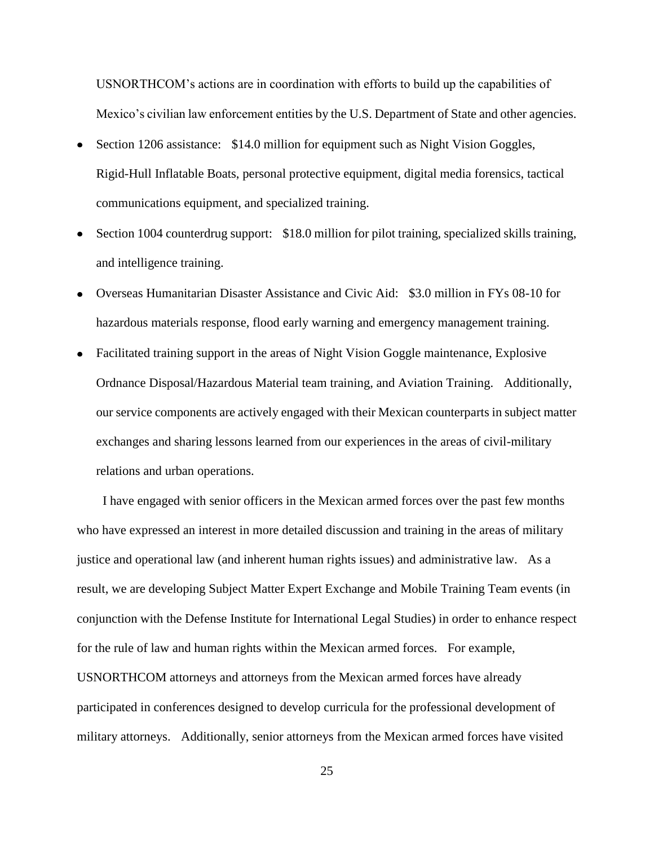USNORTHCOM's actions are in coordination with efforts to build up the capabilities of Mexico's civilian law enforcement entities by the U.S. Department of State and other agencies.

- Section 1206 assistance: \$14.0 million for equipment such as Night Vision Goggles, Rigid-Hull Inflatable Boats, personal protective equipment, digital media forensics, tactical communications equipment, and specialized training.
- Section 1004 counterdrug support: \$18.0 million for pilot training, specialized skills training, and intelligence training.
- Overseas Humanitarian Disaster Assistance and Civic Aid: \$3.0 million in FYs 08-10 for hazardous materials response, flood early warning and emergency management training.
- Facilitated training support in the areas of Night Vision Goggle maintenance, Explosive Ordnance Disposal/Hazardous Material team training, and Aviation Training. Additionally, our service components are actively engaged with their Mexican counterparts in subject matter exchanges and sharing lessons learned from our experiences in the areas of civil-military relations and urban operations.

 I have engaged with senior officers in the Mexican armed forces over the past few months who have expressed an interest in more detailed discussion and training in the areas of military justice and operational law (and inherent human rights issues) and administrative law. As a result, we are developing Subject Matter Expert Exchange and Mobile Training Team events (in conjunction with the Defense Institute for International Legal Studies) in order to enhance respect for the rule of law and human rights within the Mexican armed forces. For example, USNORTHCOM attorneys and attorneys from the Mexican armed forces have already participated in conferences designed to develop curricula for the professional development of military attorneys. Additionally, senior attorneys from the Mexican armed forces have visited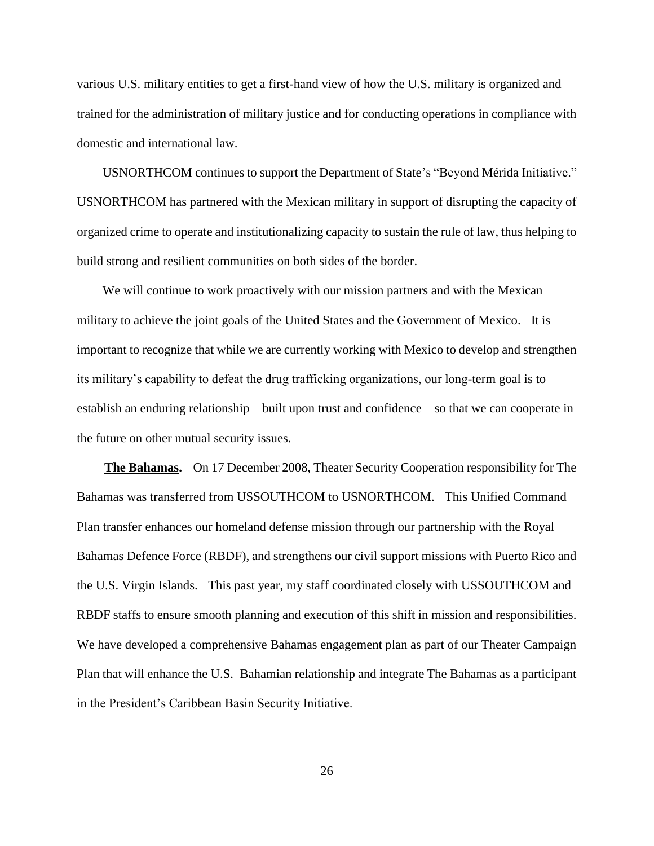various U.S. military entities to get a first-hand view of how the U.S. military is organized and trained for the administration of military justice and for conducting operations in compliance with domestic and international law.

USNORTHCOM continues to support the Department of State's "Beyond Mérida Initiative." USNORTHCOM has partnered with the Mexican military in support of disrupting the capacity of organized crime to operate and institutionalizing capacity to sustain the rule of law, thus helping to build strong and resilient communities on both sides of the border.

We will continue to work proactively with our mission partners and with the Mexican military to achieve the joint goals of the United States and the Government of Mexico. It is important to recognize that while we are currently working with Mexico to develop and strengthen its military's capability to defeat the drug trafficking organizations, our long-term goal is to establish an enduring relationship—built upon trust and confidence—so that we can cooperate in the future on other mutual security issues.

 **The Bahamas.** On 17 December 2008, Theater Security Cooperation responsibility for The Bahamas was transferred from USSOUTHCOM to USNORTHCOM. This Unified Command Plan transfer enhances our homeland defense mission through our partnership with the Royal Bahamas Defence Force (RBDF), and strengthens our civil support missions with Puerto Rico and the U.S. Virgin Islands. This past year, my staff coordinated closely with USSOUTHCOM and RBDF staffs to ensure smooth planning and execution of this shift in mission and responsibilities. We have developed a comprehensive Bahamas engagement plan as part of our Theater Campaign Plan that will enhance the U.S.–Bahamian relationship and integrate The Bahamas as a participant in the President's Caribbean Basin Security Initiative.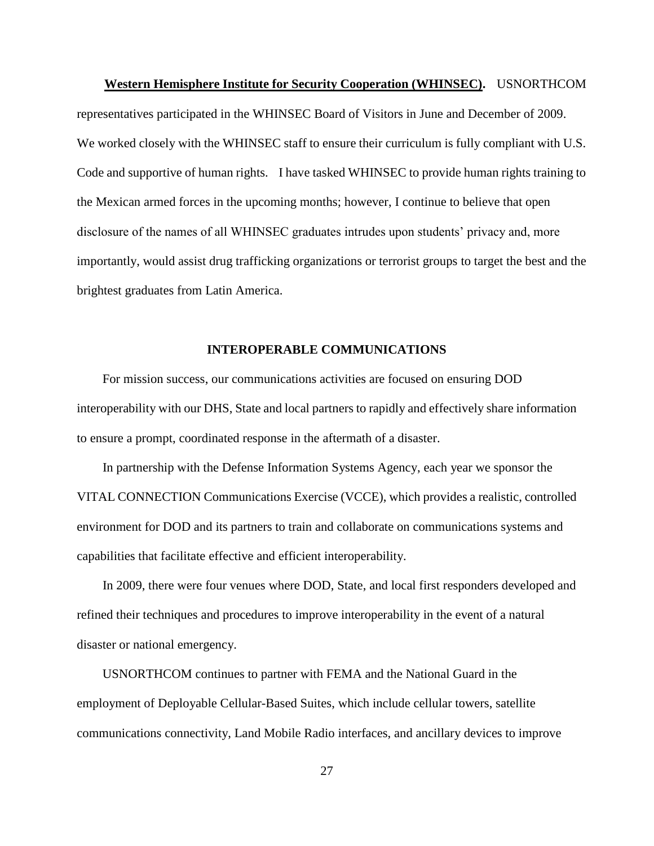**Western Hemisphere Institute for Security Cooperation (WHINSEC).** USNORTHCOM representatives participated in the WHINSEC Board of Visitors in June and December of 2009. We worked closely with the WHINSEC staff to ensure their curriculum is fully compliant with U.S. Code and supportive of human rights. I have tasked WHINSEC to provide human rights training to the Mexican armed forces in the upcoming months; however, I continue to believe that open disclosure of the names of all WHINSEC graduates intrudes upon students' privacy and, more importantly, would assist drug trafficking organizations or terrorist groups to target the best and the brightest graduates from Latin America.

#### **INTEROPERABLE COMMUNICATIONS**

 For mission success, our communications activities are focused on ensuring DOD interoperability with our DHS, State and local partners to rapidly and effectively share information to ensure a prompt, coordinated response in the aftermath of a disaster.

 In partnership with the Defense Information Systems Agency, each year we sponsor the VITAL CONNECTION Communications Exercise (VCCE), which provides a realistic, controlled environment for DOD and its partners to train and collaborate on communications systems and capabilities that facilitate effective and efficient interoperability.

 In 2009, there were four venues where DOD, State, and local first responders developed and refined their techniques and procedures to improve interoperability in the event of a natural disaster or national emergency.

 USNORTHCOM continues to partner with FEMA and the National Guard in the employment of Deployable Cellular-Based Suites, which include cellular towers, satellite communications connectivity, Land Mobile Radio interfaces, and ancillary devices to improve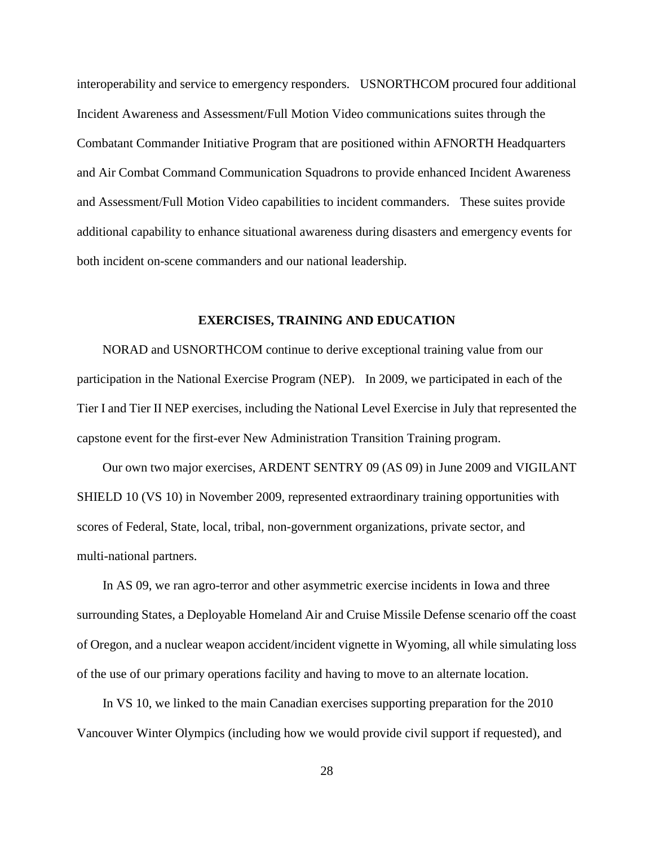interoperability and service to emergency responders. USNORTHCOM procured four additional Incident Awareness and Assessment/Full Motion Video communications suites through the Combatant Commander Initiative Program that are positioned within AFNORTH Headquarters and Air Combat Command Communication Squadrons to provide enhanced Incident Awareness and Assessment/Full Motion Video capabilities to incident commanders. These suites provide additional capability to enhance situational awareness during disasters and emergency events for both incident on-scene commanders and our national leadership.

#### **EXERCISES, TRAINING AND EDUCATION**

 NORAD and USNORTHCOM continue to derive exceptional training value from our participation in the National Exercise Program (NEP). In 2009, we participated in each of the Tier I and Tier II NEP exercises, including the National Level Exercise in July that represented the capstone event for the first-ever New Administration Transition Training program.

 Our own two major exercises, ARDENT SENTRY 09 (AS 09) in June 2009 and VIGILANT SHIELD 10 (VS 10) in November 2009, represented extraordinary training opportunities with scores of Federal, State, local, tribal, non-government organizations, private sector, and multi-national partners.

 In AS 09, we ran agro-terror and other asymmetric exercise incidents in Iowa and three surrounding States, a Deployable Homeland Air and Cruise Missile Defense scenario off the coast of Oregon, and a nuclear weapon accident/incident vignette in Wyoming, all while simulating loss of the use of our primary operations facility and having to move to an alternate location.

 In VS 10, we linked to the main Canadian exercises supporting preparation for the 2010 Vancouver Winter Olympics (including how we would provide civil support if requested), and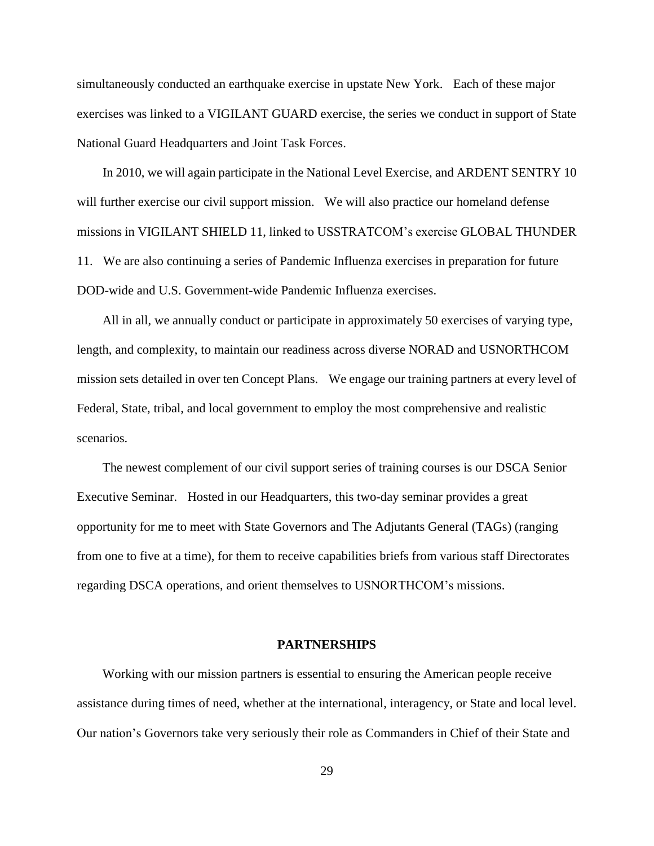simultaneously conducted an earthquake exercise in upstate New York. Each of these major exercises was linked to a VIGILANT GUARD exercise, the series we conduct in support of State National Guard Headquarters and Joint Task Forces.

 In 2010, we will again participate in the National Level Exercise, and ARDENT SENTRY 10 will further exercise our civil support mission. We will also practice our homeland defense missions in VIGILANT SHIELD 11, linked to USSTRATCOM's exercise GLOBAL THUNDER 11. We are also continuing a series of Pandemic Influenza exercises in preparation for future DOD-wide and U.S. Government-wide Pandemic Influenza exercises.

 All in all, we annually conduct or participate in approximately 50 exercises of varying type, length, and complexity, to maintain our readiness across diverse NORAD and USNORTHCOM mission sets detailed in over ten Concept Plans. We engage our training partners at every level of Federal, State, tribal, and local government to employ the most comprehensive and realistic scenarios.

 The newest complement of our civil support series of training courses is our DSCA Senior Executive Seminar. Hosted in our Headquarters, this two-day seminar provides a great opportunity for me to meet with State Governors and The Adjutants General (TAGs) (ranging from one to five at a time), for them to receive capabilities briefs from various staff Directorates regarding DSCA operations, and orient themselves to USNORTHCOM's missions.

#### **PARTNERSHIPS**

 Working with our mission partners is essential to ensuring the American people receive assistance during times of need, whether at the international, interagency, or State and local level. Our nation's Governors take very seriously their role as Commanders in Chief of their State and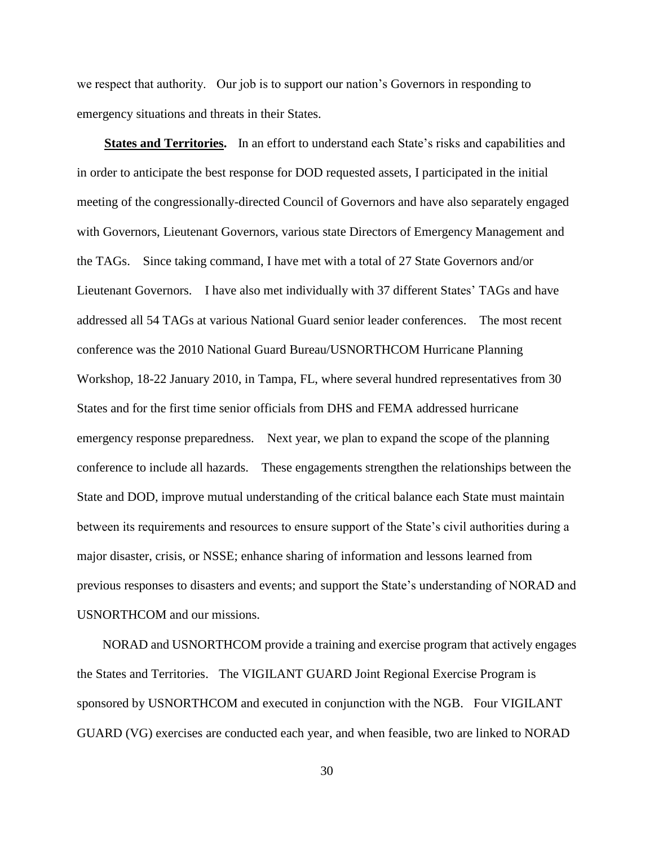we respect that authority. Our job is to support our nation's Governors in responding to emergency situations and threats in their States.

 **States and Territories.** In an effort to understand each State's risks and capabilities and in order to anticipate the best response for DOD requested assets, I participated in the initial meeting of the congressionally-directed Council of Governors and have also separately engaged with Governors, Lieutenant Governors, various state Directors of Emergency Management and the TAGs. Since taking command, I have met with a total of 27 State Governors and/or Lieutenant Governors. I have also met individually with 37 different States' TAGs and have addressed all 54 TAGs at various National Guard senior leader conferences. The most recent conference was the 2010 National Guard Bureau/USNORTHCOM Hurricane Planning Workshop, 18-22 January 2010, in Tampa, FL, where several hundred representatives from 30 States and for the first time senior officials from DHS and FEMA addressed hurricane emergency response preparedness. Next year, we plan to expand the scope of the planning conference to include all hazards. These engagements strengthen the relationships between the State and DOD, improve mutual understanding of the critical balance each State must maintain between its requirements and resources to ensure support of the State's civil authorities during a major disaster, crisis, or NSSE; enhance sharing of information and lessons learned from previous responses to disasters and events; and support the State's understanding of NORAD and USNORTHCOM and our missions.

 NORAD and USNORTHCOM provide a training and exercise program that actively engages the States and Territories. The VIGILANT GUARD Joint Regional Exercise Program is sponsored by USNORTHCOM and executed in conjunction with the NGB. Four VIGILANT GUARD (VG) exercises are conducted each year, and when feasible, two are linked to NORAD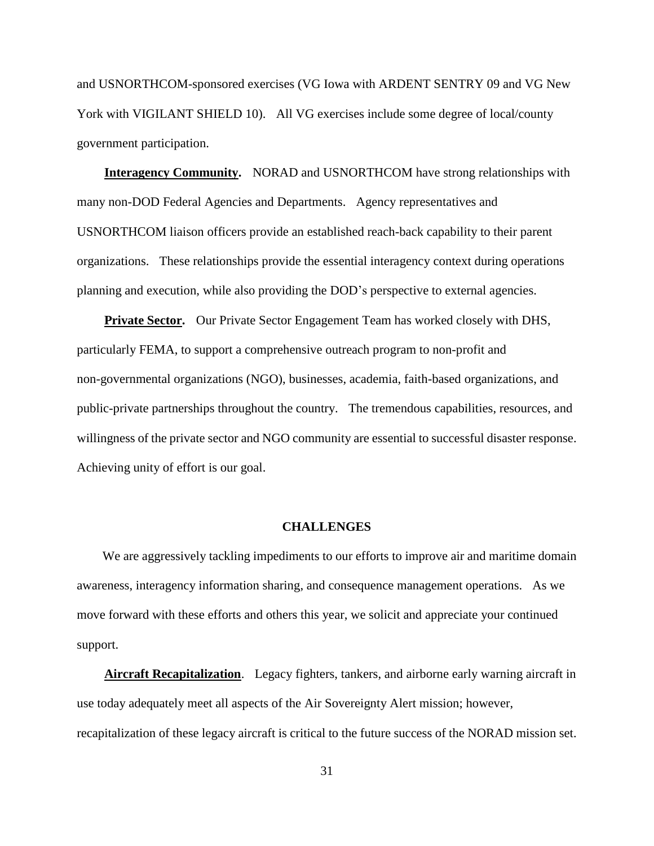and USNORTHCOM-sponsored exercises (VG Iowa with ARDENT SENTRY 09 and VG New York with VIGILANT SHIELD 10). All VG exercises include some degree of local/county government participation.

**Interagency Community.** NORAD and USNORTHCOM have strong relationships with many non-DOD Federal Agencies and Departments. Agency representatives and USNORTHCOM liaison officers provide an established reach-back capability to their parent organizations. These relationships provide the essential interagency context during operations planning and execution, while also providing the DOD's perspective to external agencies.

**Private Sector.** Our Private Sector Engagement Team has worked closely with DHS, particularly FEMA, to support a comprehensive outreach program to non-profit and non-governmental organizations (NGO), businesses, academia, faith-based organizations, and public-private partnerships throughout the country. The tremendous capabilities, resources, and willingness of the private sector and NGO community are essential to successful disaster response. Achieving unity of effort is our goal.

#### **CHALLENGES**

 We are aggressively tackling impediments to our efforts to improve air and maritime domain awareness, interagency information sharing, and consequence management operations. As we move forward with these efforts and others this year, we solicit and appreciate your continued support.

**Aircraft Recapitalization**. Legacy fighters, tankers, and airborne early warning aircraft in use today adequately meet all aspects of the Air Sovereignty Alert mission; however, recapitalization of these legacy aircraft is critical to the future success of the NORAD mission set.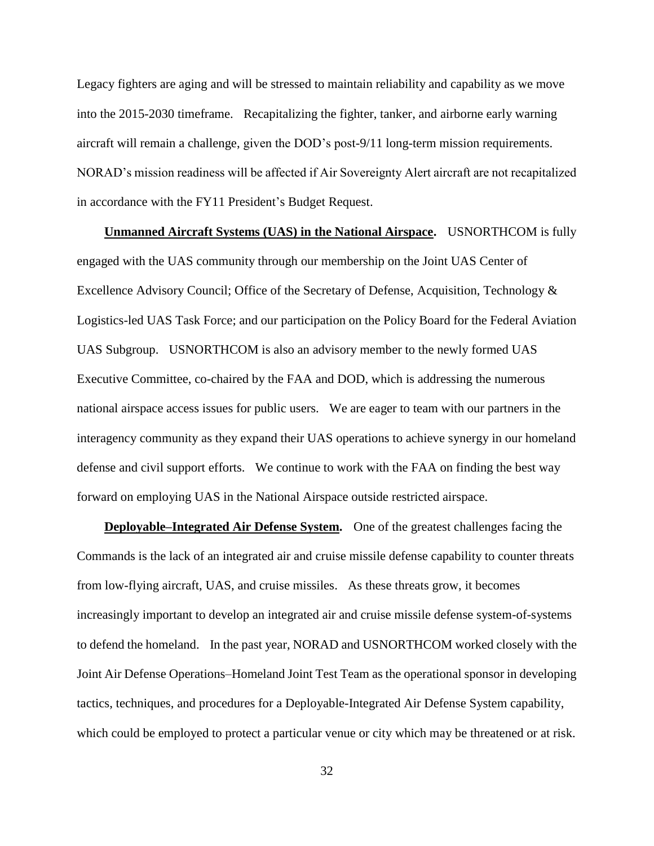Legacy fighters are aging and will be stressed to maintain reliability and capability as we move into the 2015-2030 timeframe. Recapitalizing the fighter, tanker, and airborne early warning aircraft will remain a challenge, given the DOD's post-9/11 long-term mission requirements. NORAD's mission readiness will be affected if Air Sovereignty Alert aircraft are not recapitalized in accordance with the FY11 President's Budget Request.

 **Unmanned Aircraft Systems (UAS) in the National Airspace.** USNORTHCOM is fully engaged with the UAS community through our membership on the Joint UAS Center of Excellence Advisory Council; Office of the Secretary of Defense, Acquisition, Technology & Logistics-led UAS Task Force; and our participation on the Policy Board for the Federal Aviation UAS Subgroup. USNORTHCOM is also an advisory member to the newly formed UAS Executive Committee, co-chaired by the FAA and DOD, which is addressing the numerous national airspace access issues for public users. We are eager to team with our partners in the interagency community as they expand their UAS operations to achieve synergy in our homeland defense and civil support efforts. We continue to work with the FAA on finding the best way forward on employing UAS in the National Airspace outside restricted airspace.

 **Deployable–Integrated Air Defense System.** One of the greatest challenges facing the Commands is the lack of an integrated air and cruise missile defense capability to counter threats from low-flying aircraft, UAS, and cruise missiles. As these threats grow, it becomes increasingly important to develop an integrated air and cruise missile defense system-of-systems to defend the homeland. In the past year, NORAD and USNORTHCOM worked closely with the Joint Air Defense Operations–Homeland Joint Test Team as the operational sponsor in developing tactics, techniques, and procedures for a Deployable-Integrated Air Defense System capability, which could be employed to protect a particular venue or city which may be threatened or at risk.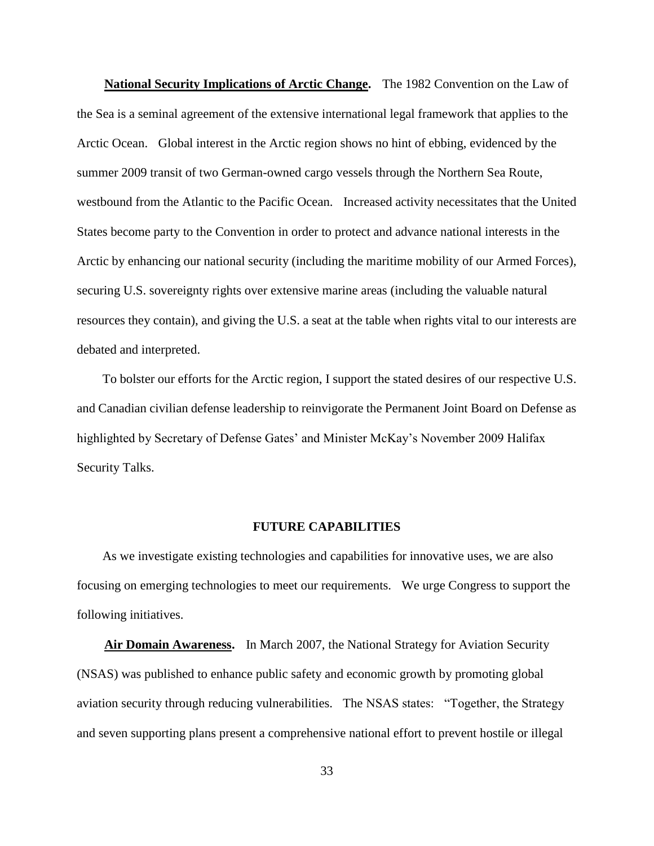**National Security Implications of Arctic Change.** The 1982 Convention on the Law of the Sea is a seminal agreement of the extensive international legal framework that applies to the Arctic Ocean. Global interest in the Arctic region shows no hint of ebbing, evidenced by the summer 2009 transit of two German-owned cargo vessels through the Northern Sea Route, westbound from the Atlantic to the Pacific Ocean. Increased activity necessitates that the United States become party to the Convention in order to protect and advance national interests in the Arctic by enhancing our national security (including the maritime mobility of our Armed Forces), securing U.S. sovereignty rights over extensive marine areas (including the valuable natural resources they contain), and giving the U.S. a seat at the table when rights vital to our interests are debated and interpreted.

 To bolster our efforts for the Arctic region, I support the stated desires of our respective U.S. and Canadian civilian defense leadership to reinvigorate the Permanent Joint Board on Defense as highlighted by Secretary of Defense Gates' and Minister McKay's November 2009 Halifax Security Talks.

#### **FUTURE CAPABILITIES**

 As we investigate existing technologies and capabilities for innovative uses, we are also focusing on emerging technologies to meet our requirements. We urge Congress to support the following initiatives.

 **Air Domain Awareness.** In March 2007, the National Strategy for Aviation Security (NSAS) was published to enhance public safety and economic growth by promoting global aviation security through reducing vulnerabilities. The NSAS states: "Together, the Strategy and seven supporting plans present a comprehensive national effort to prevent hostile or illegal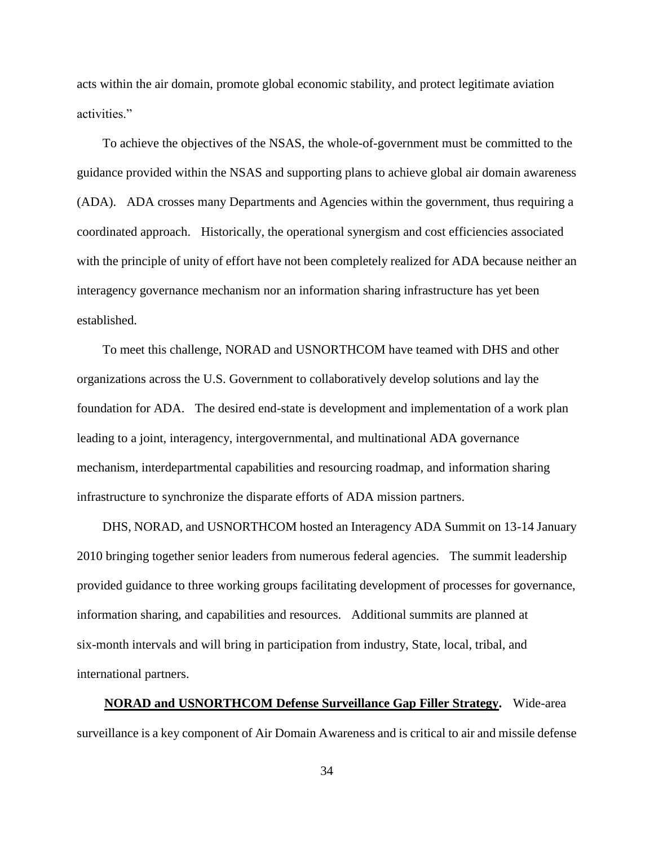acts within the air domain, promote global economic stability, and protect legitimate aviation activities."

 To achieve the objectives of the NSAS, the whole-of-government must be committed to the guidance provided within the NSAS and supporting plans to achieve global air domain awareness (ADA). ADA crosses many Departments and Agencies within the government, thus requiring a coordinated approach. Historically, the operational synergism and cost efficiencies associated with the principle of unity of effort have not been completely realized for ADA because neither an interagency governance mechanism nor an information sharing infrastructure has yet been established.

 To meet this challenge, NORAD and USNORTHCOM have teamed with DHS and other organizations across the U.S. Government to collaboratively develop solutions and lay the foundation for ADA. The desired end-state is development and implementation of a work plan leading to a joint, interagency, intergovernmental, and multinational ADA governance mechanism, interdepartmental capabilities and resourcing roadmap, and information sharing infrastructure to synchronize the disparate efforts of ADA mission partners.

 DHS, NORAD, and USNORTHCOM hosted an Interagency ADA Summit on 13-14 January 2010 bringing together senior leaders from numerous federal agencies. The summit leadership provided guidance to three working groups facilitating development of processes for governance, information sharing, and capabilities and resources. Additional summits are planned at six-month intervals and will bring in participation from industry, State, local, tribal, and international partners.

 **NORAD and USNORTHCOM Defense Surveillance Gap Filler Strategy.** Wide-area surveillance is a key component of Air Domain Awareness and is critical to air and missile defense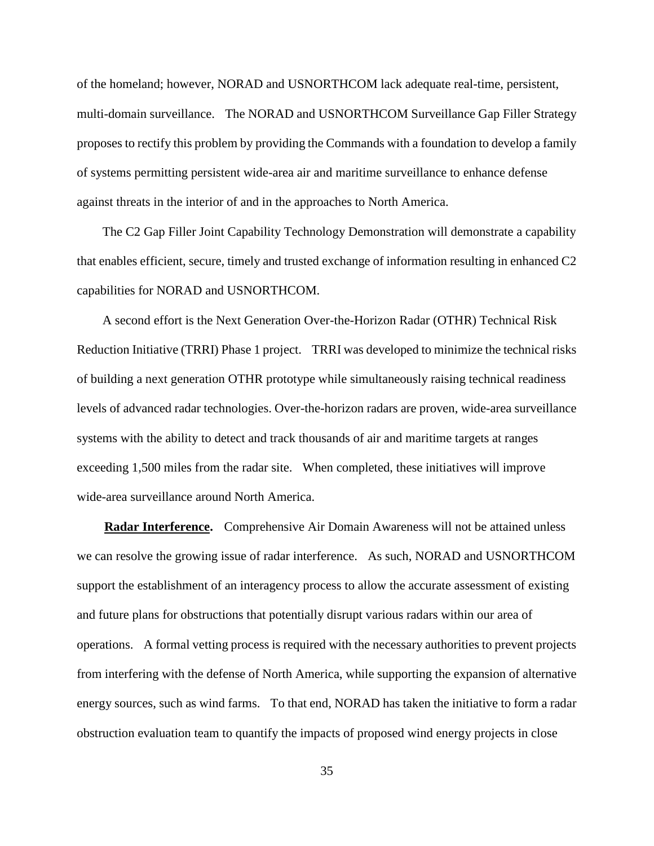of the homeland; however, NORAD and USNORTHCOM lack adequate real-time, persistent, multi-domain surveillance. The NORAD and USNORTHCOM Surveillance Gap Filler Strategy proposes to rectify this problem by providing the Commands with a foundation to develop a family of systems permitting persistent wide-area air and maritime surveillance to enhance defense against threats in the interior of and in the approaches to North America.

 The C2 Gap Filler Joint Capability Technology Demonstration will demonstrate a capability that enables efficient, secure, timely and trusted exchange of information resulting in enhanced C2 capabilities for NORAD and USNORTHCOM.

 A second effort is the Next Generation Over-the-Horizon Radar (OTHR) Technical Risk Reduction Initiative (TRRI) Phase 1 project. TRRI was developed to minimize the technical risks of building a next generation OTHR prototype while simultaneously raising technical readiness levels of advanced radar technologies. Over-the-horizon radars are proven, wide-area surveillance systems with the ability to detect and track thousands of air and maritime targets at ranges exceeding 1,500 miles from the radar site. When completed, these initiatives will improve wide-area surveillance around North America.

 **Radar Interference.** Comprehensive Air Domain Awareness will not be attained unless we can resolve the growing issue of radar interference. As such, NORAD and USNORTHCOM support the establishment of an interagency process to allow the accurate assessment of existing and future plans for obstructions that potentially disrupt various radars within our area of operations. A formal vetting process is required with the necessary authorities to prevent projects from interfering with the defense of North America, while supporting the expansion of alternative energy sources, such as wind farms. To that end, NORAD has taken the initiative to form a radar obstruction evaluation team to quantify the impacts of proposed wind energy projects in close